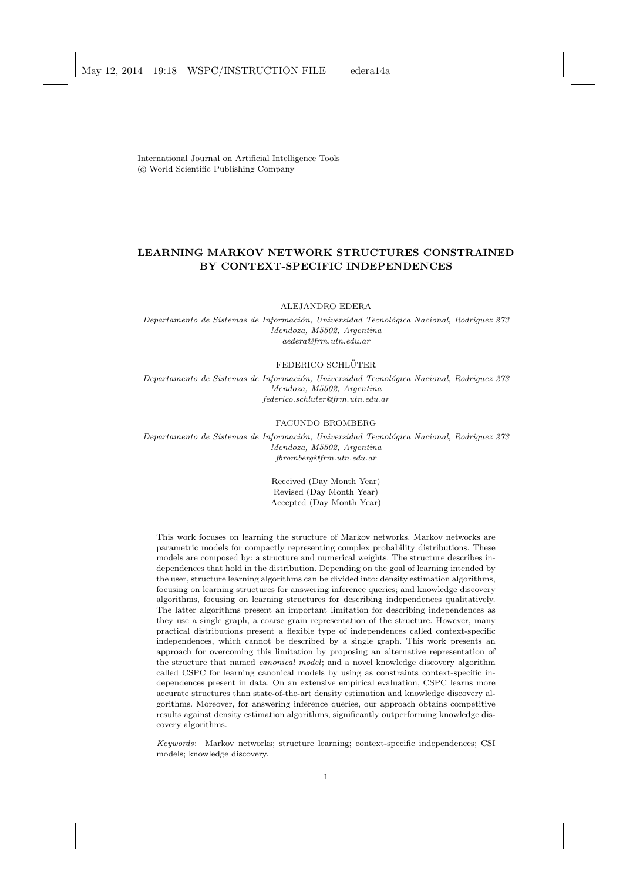International Journal on Artificial Intelligence Tools c World Scientific Publishing Company

# LEARNING MARKOV NETWORK STRUCTURES CONSTRAINED BY CONTEXT-SPECIFIC INDEPENDENCES

# ALEJANDRO EDERA

Departamento de Sistemas de Información, Universidad Tecnológica Nacional, Rodriguez 273 Mendoza, M5502, Argentina aedera@frm.utn.edu.ar

## FEDERICO SCHLÜTER

Departamento de Sistemas de Información, Universidad Tecnológica Nacional, Rodriguez 273 Mendoza, M5502, Argentina federico.schluter@frm.utn.edu.ar

#### FACUNDO BROMBERG

Departamento de Sistemas de Información, Universidad Tecnológica Nacional, Rodriguez 273 Mendoza, M5502, Argentina fbromberg@frm.utn.edu.ar

> Received (Day Month Year) Revised (Day Month Year) Accepted (Day Month Year)

This work focuses on learning the structure of Markov networks. Markov networks are parametric models for compactly representing complex probability distributions. These models are composed by: a structure and numerical weights. The structure describes independences that hold in the distribution. Depending on the goal of learning intended by the user, structure learning algorithms can be divided into: density estimation algorithms, focusing on learning structures for answering inference queries; and knowledge discovery algorithms, focusing on learning structures for describing independences qualitatively. The latter algorithms present an important limitation for describing independences as they use a single graph, a coarse grain representation of the structure. However, many practical distributions present a flexible type of independences called context-specific independences, which cannot be described by a single graph. This work presents an approach for overcoming this limitation by proposing an alternative representation of the structure that named canonical model; and a novel knowledge discovery algorithm called CSPC for learning canonical models by using as constraints context-specific independences present in data. On an extensive empirical evaluation, CSPC learns more accurate structures than state-of-the-art density estimation and knowledge discovery algorithms. Moreover, for answering inference queries, our approach obtains competitive results against density estimation algorithms, significantly outperforming knowledge discovery algorithms.

Keywords: Markov networks; structure learning; context-specific independences; CSI models; knowledge discovery.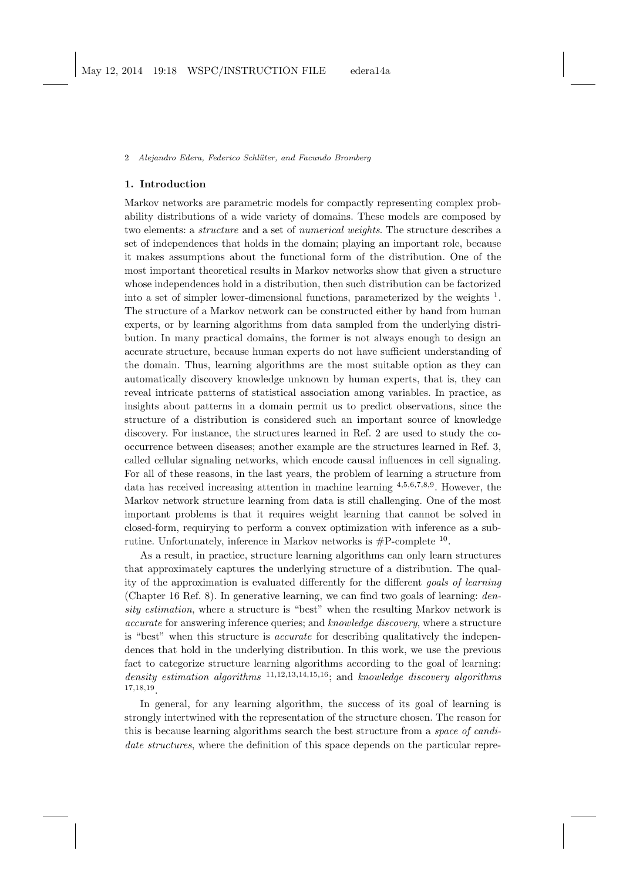## 1. Introduction

Markov networks are parametric models for compactly representing complex probability distributions of a wide variety of domains. These models are composed by two elements: a *structure* and a set of *numerical weights*. The structure describes a set of independences that holds in the domain; playing an important role, because it makes assumptions about the functional form of the distribution. One of the most important theoretical results in Markov networks show that given a structure whose independences hold in a distribution, then such distribution can be factorized into a set of simpler lower-dimensional functions, parameterized by the weights  $<sup>1</sup>$ .</sup> The structure of a Markov network can be constructed either by hand from human experts, or by learning algorithms from data sampled from the underlying distribution. In many practical domains, the former is not always enough to design an accurate structure, because human experts do not have sufficient understanding of the domain. Thus, learning algorithms are the most suitable option as they can automatically discovery knowledge unknown by human experts, that is, they can reveal intricate patterns of statistical association among variables. In practice, as insights about patterns in a domain permit us to predict observations, since the structure of a distribution is considered such an important source of knowledge discovery. For instance, the structures learned in Ref. 2 are used to study the cooccurrence between diseases; another example are the structures learned in Ref. 3, called cellular signaling networks, which encode causal influences in cell signaling. For all of these reasons, in the last years, the problem of learning a structure from data has received increasing attention in machine learning  $4,5,6,7,8,9$ . However, the Markov network structure learning from data is still challenging. One of the most important problems is that it requires weight learning that cannot be solved in closed-form, requirying to perform a convex optimization with inference as a subrutine. Unfortunately, inference in Markov networks is  $\#P$ -complete <sup>10</sup>.

As a result, in practice, structure learning algorithms can only learn structures that approximately captures the underlying structure of a distribution. The quality of the approximation is evaluated differently for the different goals of learning (Chapter 16 Ref. 8). In generative learning, we can find two goals of learning:  $den$ sity estimation, where a structure is "best" when the resulting Markov network is accurate for answering inference queries; and knowledge discovery, where a structure is "best" when this structure is accurate for describing qualitatively the independences that hold in the underlying distribution. In this work, we use the previous fact to categorize structure learning algorithms according to the goal of learning: density estimation algorithms  $\frac{11,12,13,14,15,16}{11,12,13,14,15,16}$ ; and knowledge discovery algorithms 17,18,19 .

In general, for any learning algorithm, the success of its goal of learning is strongly intertwined with the representation of the structure chosen. The reason for this is because learning algorithms search the best structure from a space of candidate structures, where the definition of this space depends on the particular repre-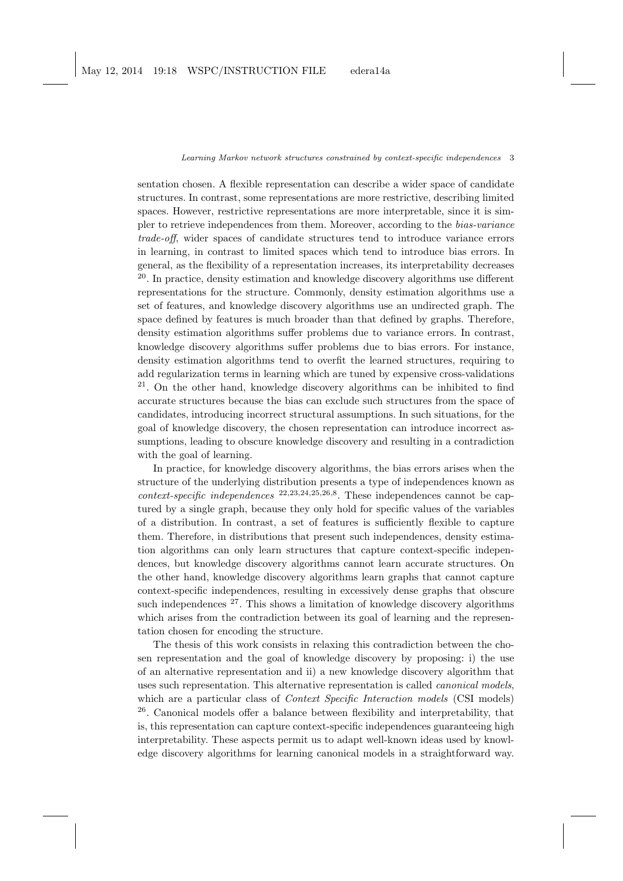sentation chosen. A flexible representation can describe a wider space of candidate structures. In contrast, some representations are more restrictive, describing limited spaces. However, restrictive representations are more interpretable, since it is simpler to retrieve independences from them. Moreover, according to the bias-variance trade-off, wider spaces of candidate structures tend to introduce variance errors in learning, in contrast to limited spaces which tend to introduce bias errors. In general, as the flexibility of a representation increases, its interpretability decreases <sup>20</sup>. In practice, density estimation and knowledge discovery algorithms use different representations for the structure. Commonly, density estimation algorithms use a set of features, and knowledge discovery algorithms use an undirected graph. The space defined by features is much broader than that defined by graphs. Therefore, density estimation algorithms suffer problems due to variance errors. In contrast, knowledge discovery algorithms suffer problems due to bias errors. For instance, density estimation algorithms tend to overfit the learned structures, requiring to add regularization terms in learning which are tuned by expensive cross-validations <sup>21</sup>. On the other hand, knowledge discovery algorithms can be inhibited to find accurate structures because the bias can exclude such structures from the space of candidates, introducing incorrect structural assumptions. In such situations, for the goal of knowledge discovery, the chosen representation can introduce incorrect assumptions, leading to obscure knowledge discovery and resulting in a contradiction with the goal of learning.

In practice, for knowledge discovery algorithms, the bias errors arises when the structure of the underlying distribution presents a type of independences known as context-specific independences  $22,23,24,25,26,8$ . These independences cannot be captured by a single graph, because they only hold for specific values of the variables of a distribution. In contrast, a set of features is sufficiently flexible to capture them. Therefore, in distributions that present such independences, density estimation algorithms can only learn structures that capture context-specific independences, but knowledge discovery algorithms cannot learn accurate structures. On the other hand, knowledge discovery algorithms learn graphs that cannot capture context-specific independences, resulting in excessively dense graphs that obscure such independences  $2^7$ . This shows a limitation of knowledge discovery algorithms which arises from the contradiction between its goal of learning and the representation chosen for encoding the structure.

The thesis of this work consists in relaxing this contradiction between the chosen representation and the goal of knowledge discovery by proposing: i) the use of an alternative representation and ii) a new knowledge discovery algorithm that uses such representation. This alternative representation is called canonical models, which are a particular class of *Context Specific Interaction models* (CSI models) <sup>26</sup>. Canonical models offer a balance between flexibility and interpretability, that is, this representation can capture context-specific independences guaranteeing high interpretability. These aspects permit us to adapt well-known ideas used by knowledge discovery algorithms for learning canonical models in a straightforward way.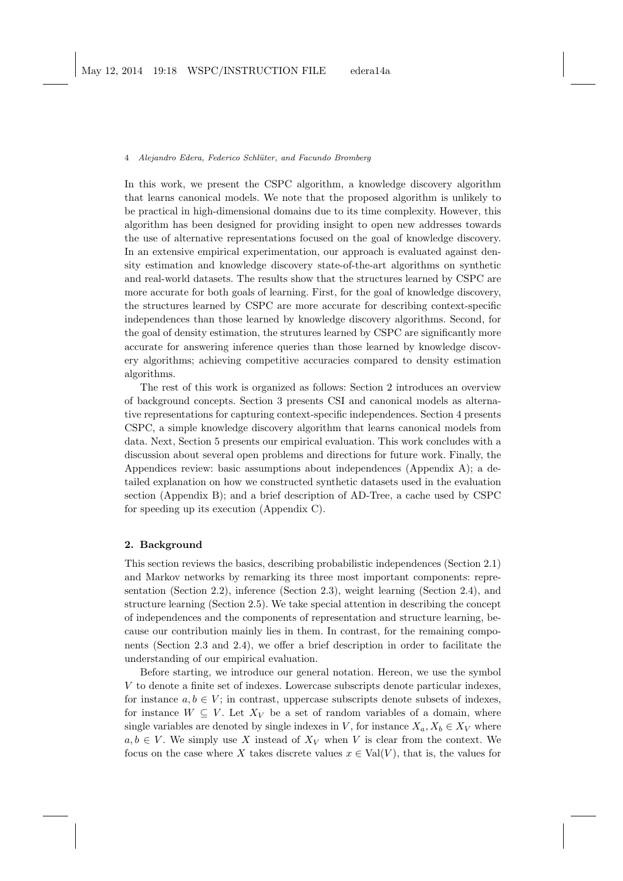In this work, we present the CSPC algorithm, a knowledge discovery algorithm that learns canonical models. We note that the proposed algorithm is unlikely to be practical in high-dimensional domains due to its time complexity. However, this algorithm has been designed for providing insight to open new addresses towards the use of alternative representations focused on the goal of knowledge discovery. In an extensive empirical experimentation, our approach is evaluated against density estimation and knowledge discovery state-of-the-art algorithms on synthetic and real-world datasets. The results show that the structures learned by CSPC are more accurate for both goals of learning. First, for the goal of knowledge discovery, the structures learned by CSPC are more accurate for describing context-specific independences than those learned by knowledge discovery algorithms. Second, for the goal of density estimation, the strutures learned by CSPC are significantly more accurate for answering inference queries than those learned by knowledge discovery algorithms; achieving competitive accuracies compared to density estimation algorithms.

The rest of this work is organized as follows: Section 2 introduces an overview of background concepts. Section 3 presents CSI and canonical models as alternative representations for capturing context-specific independences. Section 4 presents CSPC, a simple knowledge discovery algorithm that learns canonical models from data. Next, Section 5 presents our empirical evaluation. This work concludes with a discussion about several open problems and directions for future work. Finally, the Appendices review: basic assumptions about independences (Appendix A); a detailed explanation on how we constructed synthetic datasets used in the evaluation section (Appendix B); and a brief description of AD-Tree, a cache used by CSPC for speeding up its execution (Appendix C).

# 2. Background

This section reviews the basics, describing probabilistic independences (Section 2.1) and Markov networks by remarking its three most important components: representation (Section 2.2), inference (Section 2.3), weight learning (Section 2.4), and structure learning (Section 2.5). We take special attention in describing the concept of independences and the components of representation and structure learning, because our contribution mainly lies in them. In contrast, for the remaining components (Section 2.3 and 2.4), we offer a brief description in order to facilitate the understanding of our empirical evaluation.

Before starting, we introduce our general notation. Hereon, we use the symbol V to denote a finite set of indexes. Lowercase subscripts denote particular indexes, for instance  $a, b \in V$ ; in contrast, uppercase subscripts denote subsets of indexes, for instance  $W \subseteq V$ . Let  $X_V$  be a set of random variables of a domain, where single variables are denoted by single indexes in V, for instance  $X_a, X_b \in X_V$  where  $a, b \in V$ . We simply use X instead of  $X_V$  when V is clear from the context. We focus on the case where X takes discrete values  $x \in Val(V)$ , that is, the values for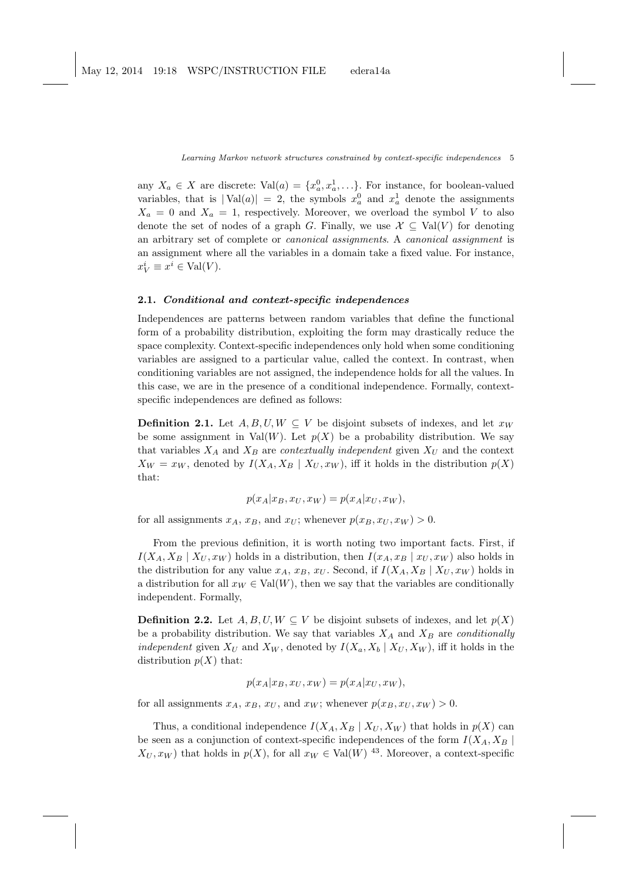any  $X_a \in X$  are discrete:  $Val(a) = \{x_a^0, x_a^1, \ldots\}$ . For instance, for boolean-valued variables, that is  $|Val(a)| = 2$ , the symbols  $x_a^0$  and  $x_a^1$  denote the assignments  $X_a = 0$  and  $X_a = 1$ , respectively. Moreover, we overload the symbol V to also denote the set of nodes of a graph G. Finally, we use  $\mathcal{X} \subseteq \text{Val}(V)$  for denoting an arbitrary set of complete or canonical assignments. A canonical assignment is an assignment where all the variables in a domain take a fixed value. For instance,  $x_V^i \equiv x^i \in Val(V)$ .

# 2.1. Conditional and context-specific independences

Independences are patterns between random variables that define the functional form of a probability distribution, exploiting the form may drastically reduce the space complexity. Context-specific independences only hold when some conditioning variables are assigned to a particular value, called the context. In contrast, when conditioning variables are not assigned, the independence holds for all the values. In this case, we are in the presence of a conditional independence. Formally, contextspecific independences are defined as follows:

**Definition 2.1.** Let  $A, B, U, W \subseteq V$  be disjoint subsets of indexes, and let  $x_W$ be some assignment in Val $(W)$ . Let  $p(X)$  be a probability distribution. We say that variables  $X_A$  and  $X_B$  are *contextually independent* given  $X_U$  and the context  $X_W = x_W$ , denoted by  $I(X_A, X_B | X_U, x_W)$ , iff it holds in the distribution  $p(X)$ that:

$$
p(x_A|x_B, x_U, x_W) = p(x_A|x_U, x_W),
$$

for all assignments  $x_A$ ,  $x_B$ , and  $x_U$ ; whenever  $p(x_B, x_U, x_W) > 0$ .

From the previous definition, it is worth noting two important facts. First, if  $I(X_A, X_B | X_U, x_W)$  holds in a distribution, then  $I(x_A, x_B | x_U, x_W)$  also holds in the distribution for any value  $x_A$ ,  $x_B$ ,  $x_U$ . Second, if  $I(X_A, X_B | X_U, x_W)$  holds in a distribution for all  $x_W \in Val(W)$ , then we say that the variables are conditionally independent. Formally,

**Definition 2.2.** Let  $A, B, U, W \subseteq V$  be disjoint subsets of indexes, and let  $p(X)$ be a probability distribution. We say that variables  $X_A$  and  $X_B$  are *conditionally* independent given  $X_U$  and  $X_W$ , denoted by  $I(X_a, X_b | X_U, X_W)$ , iff it holds in the distribution  $p(X)$  that:

$$
p(x_A|x_B, x_U, x_W) = p(x_A|x_U, x_W),
$$

for all assignments  $x_A$ ,  $x_B$ ,  $x_U$ , and  $x_W$ ; whenever  $p(x_B, x_U, x_W) > 0$ .

Thus, a conditional independence  $I(X_A, X_B | X_U, X_W)$  that holds in  $p(X)$  can be seen as a conjunction of context-specific independences of the form  $I(X_A, X_B)$  $X_U, x_W$ ) that holds in  $p(X)$ , for all  $x_W \in Val(W)$ <sup>43</sup>. Moreover, a context-specific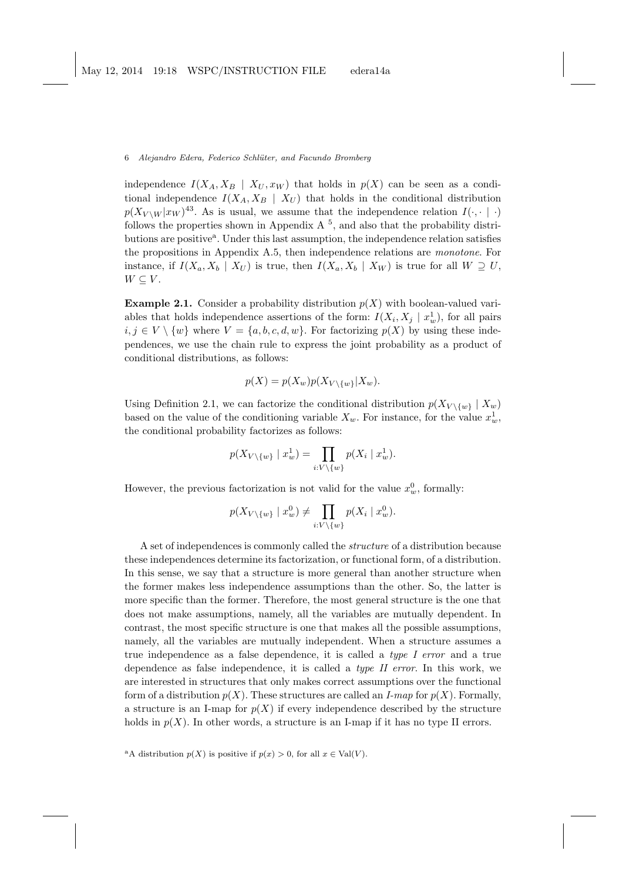independence  $I(X_A, X_B | X_U, x_W)$  that holds in  $p(X)$  can be seen as a conditional independence  $I(X_A, X_B | X_U)$  that holds in the conditional distribution  $p(X_{V \setminus W} | x_W )^{43}$ . As is usual, we assume that the independence relation  $I(\cdot, \cdot | \cdot)$ follows the properties shown in Appendix A<sup> $5$ </sup>, and also that the probability distributions are positive<sup>a</sup>. Under this last assumption, the independence relation satisfies the propositions in Appendix A.5, then independence relations are monotone. For instance, if  $I(X_a, X_b | X_U)$  is true, then  $I(X_a, X_b | X_W)$  is true for all  $W \supseteq U$ ,  $W \subseteq V$ .

**Example 2.1.** Consider a probability distribution  $p(X)$  with boolean-valued variables that holds independence assertions of the form:  $I(X_i, X_j | x_w^1)$ , for all pairs  $i, j \in V \setminus \{w\}$  where  $V = \{a, b, c, d, w\}$ . For factorizing  $p(X)$  by using these independences, we use the chain rule to express the joint probability as a product of conditional distributions, as follows:

$$
p(X) = p(X_w)p(X_{V \setminus \{w\}}|X_w).
$$

Using Definition 2.1, we can factorize the conditional distribution  $p(X_{V \setminus \{w\}} | X_w)$ based on the value of the conditioning variable  $X_w$ . For instance, for the value  $x_w^1$ , the conditional probability factorizes as follows:

$$
p(X_{V\setminus\{w\}} \mid x_w^1) = \prod_{i:V\setminus\{w\}} p(X_i \mid x_w^1).
$$

However, the previous factorization is not valid for the value  $x_w^0$ , formally:

$$
p(X_{V\setminus\{w\}} \mid x_w^0) \neq \prod_{i:V\setminus\{w\}} p(X_i \mid x_w^0).
$$

A set of independences is commonly called the structure of a distribution because these independences determine its factorization, or functional form, of a distribution. In this sense, we say that a structure is more general than another structure when the former makes less independence assumptions than the other. So, the latter is more specific than the former. Therefore, the most general structure is the one that does not make assumptions, namely, all the variables are mutually dependent. In contrast, the most specific structure is one that makes all the possible assumptions, namely, all the variables are mutually independent. When a structure assumes a true independence as a false dependence, it is called a type I error and a true dependence as false independence, it is called a *type II error*. In this work, we are interested in structures that only makes correct assumptions over the functional form of a distribution  $p(X)$ . These structures are called an *I-map* for  $p(X)$ . Formally, a structure is an I-map for  $p(X)$  if every independence described by the structure holds in  $p(X)$ . In other words, a structure is an I-map if it has no type II errors.

<sup>a</sup>A distribution  $p(X)$  is positive if  $p(x) > 0$ , for all  $x \in Val(V)$ .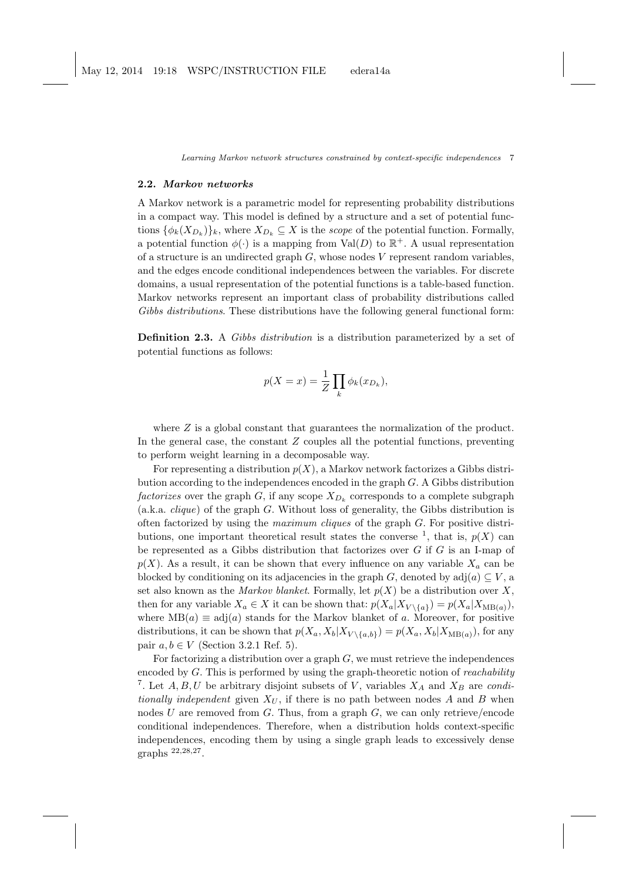### 2.2. Markov networks

A Markov network is a parametric model for representing probability distributions in a compact way. This model is defined by a structure and a set of potential functions  $\{\phi_k(X_{D_k})\}_k$ , where  $X_{D_k} \subseteq X$  is the scope of the potential function. Formally, a potential function  $\phi(\cdot)$  is a mapping from Val(D) to  $\mathbb{R}^+$ . A usual representation of a structure is an undirected graph  $G$ , whose nodes  $V$  represent random variables, and the edges encode conditional independences between the variables. For discrete domains, a usual representation of the potential functions is a table-based function. Markov networks represent an important class of probability distributions called Gibbs distributions. These distributions have the following general functional form:

**Definition 2.3.** A *Gibbs distribution* is a distribution parameterized by a set of potential functions as follows:

$$
p(X = x) = \frac{1}{Z} \prod_{k} \phi_k(x_{D_k}),
$$

where  $Z$  is a global constant that guarantees the normalization of the product. In the general case, the constant  $Z$  couples all the potential functions, preventing to perform weight learning in a decomposable way.

For representing a distribution  $p(X)$ , a Markov network factorizes a Gibbs distribution according to the independences encoded in the graph G. A Gibbs distribution factorizes over the graph G, if any scope  $X_{D_k}$  corresponds to a complete subgraph (a.k.a. clique) of the graph G. Without loss of generality, the Gibbs distribution is often factorized by using the maximum cliques of the graph G. For positive distributions, one important theoretical result states the converse  $\frac{1}{1}$ , that is,  $p(X)$  can be represented as a Gibbs distribution that factorizes over  $G$  if  $G$  is an I-map of  $p(X)$ . As a result, it can be shown that every influence on any variable  $X_a$  can be blocked by conditioning on its adjacencies in the graph G, denoted by  $adj(a) \subseteq V$ , a set also known as the *Markov blanket*. Formally, let  $p(X)$  be a distribution over X, then for any variable  $X_a \in X$  it can be shown that:  $p(X_a|X_{V \setminus \{a\}}) = p(X_a|X_{MB(a)})$ , where  $MB(a) \equiv adj(a)$  stands for the Markov blanket of a. Moreover, for positive distributions, it can be shown that  $p(X_a, X_b | X_{V \setminus \{a,b\}}) = p(X_a, X_b | X_{MB(a)})$ , for any pair  $a, b \in V$  (Section 3.2.1 Ref. 5).

For factorizing a distribution over a graph  $G$ , we must retrieve the independences encoded by G. This is performed by using the graph-theoretic notion of reachability <sup>7</sup>. Let A, B, U be arbitrary disjoint subsets of V, variables  $X_A$  and  $X_B$  are conditionally independent given  $X_U$ , if there is no path between nodes A and B when nodes U are removed from G. Thus, from a graph  $G$ , we can only retrieve/encode conditional independences. Therefore, when a distribution holds context-specific independences, encoding them by using a single graph leads to excessively dense graphs <sup>22</sup>,28,<sup>27</sup> .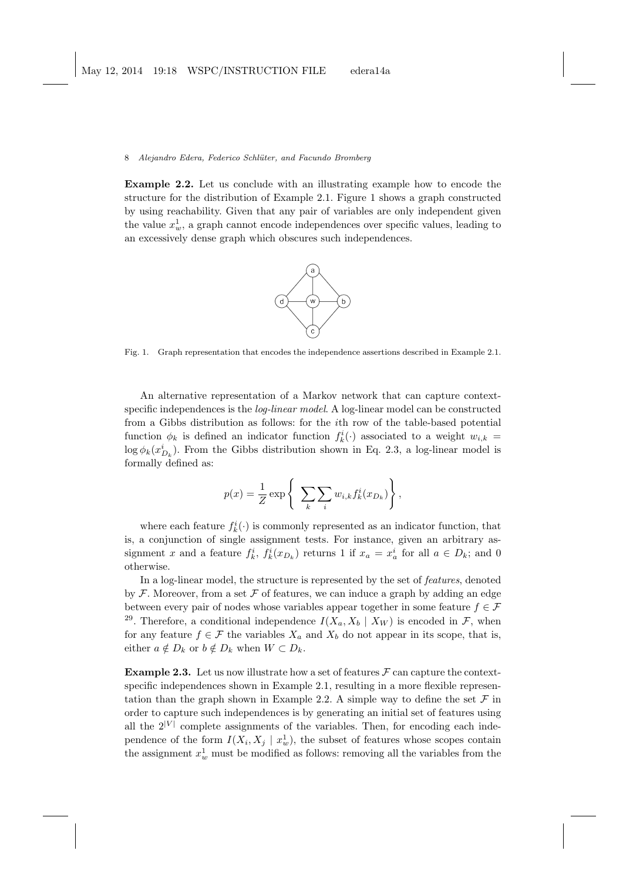Example 2.2. Let us conclude with an illustrating example how to encode the structure for the distribution of Example 2.1. Figure 1 shows a graph constructed by using reachability. Given that any pair of variables are only independent given the value  $x_w^1$ , a graph cannot encode independences over specific values, leading to an excessively dense graph which obscures such independences.



Fig. 1. Graph representation that encodes the independence assertions described in Example 2.1.

An alternative representation of a Markov network that can capture contextspecific independences is the *log-linear model*. A log-linear model can be constructed from a Gibbs distribution as follows: for the ith row of the table-based potential function  $\phi_k$  is defined an indicator function  $f_k^i(\cdot)$  associated to a weight  $w_{i,k}$  $\log \phi_k(x_{D_k}^i)$ . From the Gibbs distribution shown in Eq. 2.3, a log-linear model is formally defined as:

$$
p(x) = \frac{1}{Z} \exp \left\{ \sum_{k} \sum_{i} w_{i,k} f_k^i(x_{D_k}) \right\},\,
$$

where each feature  $f_k^i(\cdot)$  is commonly represented as an indicator function, that is, a conjunction of single assignment tests. For instance, given an arbitrary assignment x and a feature  $f_k^i$ ,  $f_k^i(x_{D_k})$  returns 1 if  $x_a = x_a^i$  for all  $a \in D_k$ ; and 0 otherwise.

In a log-linear model, the structure is represented by the set of features, denoted by  $\mathcal F$ . Moreover, from a set  $\mathcal F$  of features, we can induce a graph by adding an edge between every pair of nodes whose variables appear together in some feature  $f \in \mathcal{F}$ <sup>29</sup>. Therefore, a conditional independence  $I(X_a, X_b | X_W)$  is encoded in F, when for any feature  $f \in \mathcal{F}$  the variables  $X_a$  and  $X_b$  do not appear in its scope, that is, either  $a \notin D_k$  or  $b \notin D_k$  when  $W \subset D_k$ .

**Example 2.3.** Let us now illustrate how a set of features  $\mathcal F$  can capture the contextspecific independences shown in Example 2.1, resulting in a more flexible representation than the graph shown in Example 2.2. A simple way to define the set  $\mathcal F$  in order to capture such independences is by generating an initial set of features using all the  $2^{|V|}$  complete assignments of the variables. Then, for encoding each independence of the form  $I(X_i, X_j \mid x_w^1)$ , the subset of features whose scopes contain the assignment  $x_w^1$  must be modified as follows: removing all the variables from the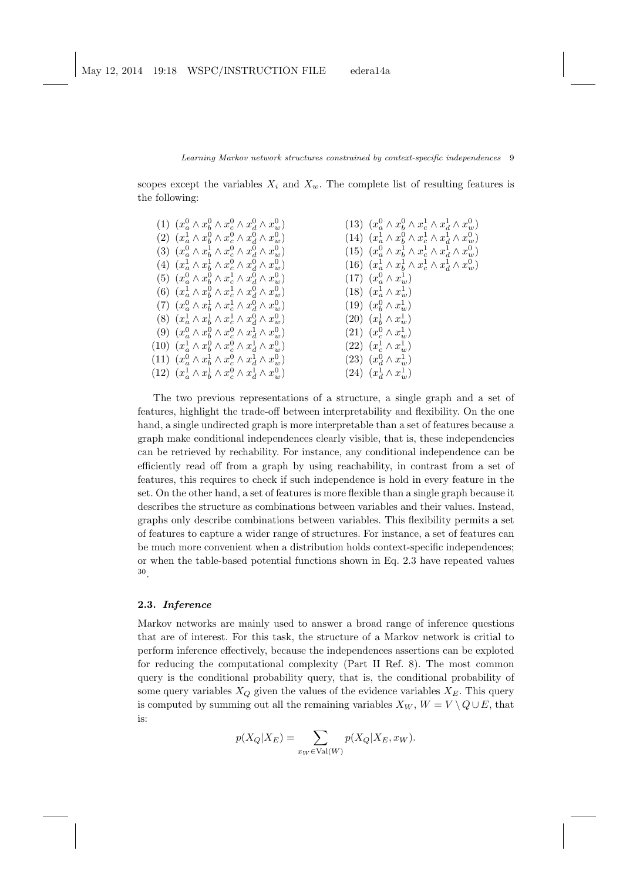scopes except the variables  $X_i$  and  $X_w$ . The complete list of resulting features is the following:

| (1) $(x_a^0 \wedge x_b^0 \wedge x_c^0 \wedge x_d^0 \wedge x_w^0)$    | (13) $(x_a^0 \wedge x_b^0 \wedge x_c^1 \wedge x_d^1 \wedge x_w^0)$   |
|----------------------------------------------------------------------|----------------------------------------------------------------------|
| (2) $(x_a^1 \wedge x_b^0 \wedge x_c^0 \wedge x_d^0 \wedge x_w^0)$    | $(14)$ $(x_a^1 \wedge x_b^0 \wedge x_c^1 \wedge x_d^1 \wedge x_w^0)$ |
| (3) $(x_a^0 \wedge x_b^1 \wedge x_c^0 \wedge x_d^0 \wedge x_m^0)$    | $(15)$ $(x_a^0 \wedge x_b^1 \wedge x_c^1 \wedge x_d^1 \wedge x_w^0)$ |
| (4) $(x_a^1 \wedge x_b^1 \wedge x_c^0 \wedge x_d^0 \wedge x_w^0)$    | $(16)$ $(x_a^1 \wedge x_b^1 \wedge x_c^1 \wedge x_d^1 \wedge x_w^0)$ |
| (5) $(x_a^0 \wedge x_b^0 \wedge x_c^1 \wedge x_d^0 \wedge x_w^0)$    | $(17)$ $(x_a^0 \wedge x_w^1)$                                        |
| (6) $(x_a^1 \wedge x_b^0 \wedge x_c^1 \wedge x_d^0 \wedge x_w^0)$    | $(18)$ $(x_a^1 \wedge x_w^1)$                                        |
| $(7)$ $(x_a^0 \wedge x_b^1 \wedge x_c^1 \wedge x_d^0 \wedge x_m^0)$  | $(19)$ $(x_h^0 \wedge x_m^1)$                                        |
| (8) $(x_a^1 \wedge x_b^1 \wedge x_c^1 \wedge x_d^0 \wedge x_w^0)$    | $(20)$ $(x_h^1 \wedge x_w^1)$                                        |
| (9) $(x_a^0 \wedge x_b^0 \wedge x_c^0 \wedge x_d^1 \wedge x_w^0)$    | $(21)$ $(x_c^0 \wedge x_w^1)$                                        |
| $(10)$ $(x_a^1 \wedge x_b^0 \wedge x_c^0 \wedge x_d^1 \wedge x_w^0)$ | $(22)$ $(x_c^1 \wedge x_w^1)$                                        |
| (11) $(x_a^0 \wedge x_b^1 \wedge x_c^0 \wedge x_d^1 \wedge x_w^0)$   | $(23)$ $(x_d^0 \wedge x_w^1)$                                        |
| $(12)$ $(x_a^1 \wedge x_b^1 \wedge x_c^0 \wedge x_d^1 \wedge x_w^0)$ | $(24)$ $(x_d^1 \wedge x_w^1)$                                        |
|                                                                      |                                                                      |

The two previous representations of a structure, a single graph and a set of features, highlight the trade-off between interpretability and flexibility. On the one hand, a single undirected graph is more interpretable than a set of features because a graph make conditional independences clearly visible, that is, these independencies can be retrieved by rechability. For instance, any conditional independence can be efficiently read off from a graph by using reachability, in contrast from a set of features, this requires to check if such independence is hold in every feature in the set. On the other hand, a set of features is more flexible than a single graph because it describes the structure as combinations between variables and their values. Instead, graphs only describe combinations between variables. This flexibility permits a set of features to capture a wider range of structures. For instance, a set of features can be much more convenient when a distribution holds context-specific independences; or when the table-based potential functions shown in Eq. 2.3 have repeated values 30 .

# 2.3. Inference

Markov networks are mainly used to answer a broad range of inference questions that are of interest. For this task, the structure of a Markov network is critial to perform inference effectively, because the independences assertions can be exploted for reducing the computational complexity (Part II Ref. 8). The most common query is the conditional probability query, that is, the conditional probability of some query variables  $X_Q$  given the values of the evidence variables  $X_E$ . This query is computed by summing out all the remaining variables  $X_W$ ,  $W = V \setminus Q \cup E$ , that is:

$$
p(X_Q|X_E) = \sum_{x_W \in \text{Val}(W)} p(X_Q|X_E, x_W).
$$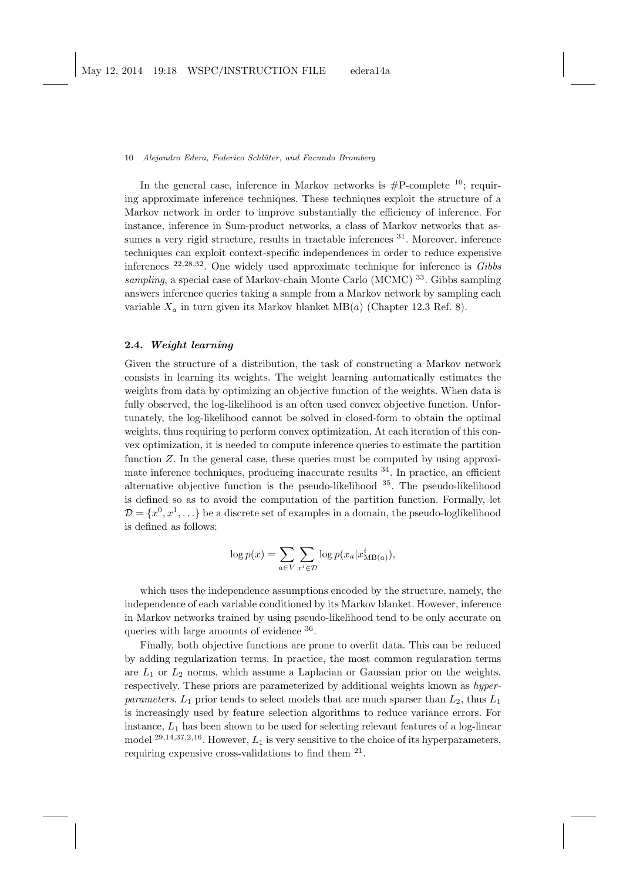In the general case, inference in Markov networks is  $\#P$ -complete <sup>10</sup>; requiring approximate inference techniques. These techniques exploit the structure of a Markov network in order to improve substantially the efficiency of inference. For instance, inference in Sum-product networks, a class of Markov networks that assumes a very rigid structure, results in tractable inferences <sup>31</sup>. Moreover, inference techniques can exploit context-specific independences in order to reduce expensive inferences  $22,28,32$ . One widely used approximate technique for inference is Gibbs sampling, a special case of Markov-chain Monte Carlo (MCMC)  $33$ . Gibbs sampling answers inference queries taking a sample from a Markov network by sampling each variable  $X_a$  in turn given its Markov blanket MB(a) (Chapter 12.3 Ref. 8).

# 2.4. Weight learning

Given the structure of a distribution, the task of constructing a Markov network consists in learning its weights. The weight learning automatically estimates the weights from data by optimizing an objective function of the weights. When data is fully observed, the log-likelihood is an often used convex objective function. Unfortunately, the log-likelihood cannot be solved in closed-form to obtain the optimal weights, thus requiring to perform convex optimization. At each iteration of this convex optimization, it is needed to compute inference queries to estimate the partition function  $Z$ . In the general case, these queries must be computed by using approximate inference techniques, producing inaccurate results <sup>34</sup>. In practice, an efficient alternative objective function is the pseudo-likelihood  $35$ . The pseudo-likelihood is defined so as to avoid the computation of the partition function. Formally, let  $\mathcal{D} = \{x^0, x^1, \ldots\}$  be a discrete set of examples in a domain, the pseudo-loglikelihood is defined as follows:

$$
\log p(x) = \sum_{a \in V} \sum_{x^i \in \mathcal{D}} \log p(x_a | x^i_{\text{MB}(a)}),
$$

which uses the independence assumptions encoded by the structure, namely, the independence of each variable conditioned by its Markov blanket. However, inference in Markov networks trained by using pseudo-likelihood tend to be only accurate on queries with large amounts of evidence  $36$ .

Finally, both objective functions are prone to overfit data. This can be reduced by adding regularization terms. In practice, the most common regularation terms are  $L_1$  or  $L_2$  norms, which assume a Laplacian or Gaussian prior on the weights, respectively. These priors are parameterized by additional weights known as hyperparameters.  $L_1$  prior tends to select models that are much sparser than  $L_2$ , thus  $L_1$ is increasingly used by feature selection algorithms to reduce variance errors. For instance,  $L_1$  has been shown to be used for selecting relevant features of a log-linear model  $^{29,14,37,2,16}$ . However,  $L_1$  is very sensitive to the choice of its hyperparameters, requiring expensive cross-validations to find them <sup>21</sup>.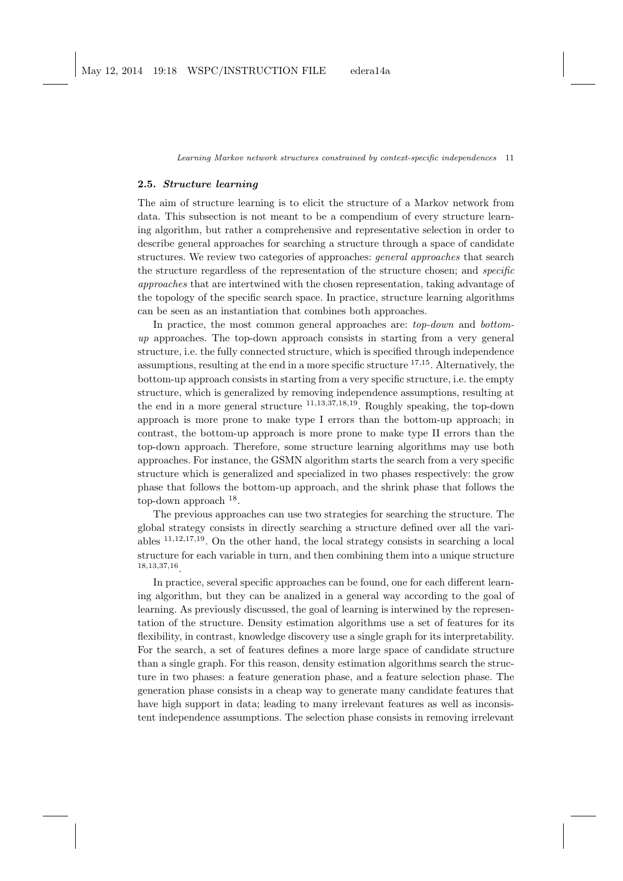## 2.5. Structure learning

The aim of structure learning is to elicit the structure of a Markov network from data. This subsection is not meant to be a compendium of every structure learning algorithm, but rather a comprehensive and representative selection in order to describe general approaches for searching a structure through a space of candidate structures. We review two categories of approaches: general approaches that search the structure regardless of the representation of the structure chosen; and specific approaches that are intertwined with the chosen representation, taking advantage of the topology of the specific search space. In practice, structure learning algorithms can be seen as an instantiation that combines both approaches.

In practice, the most common general approaches are: *top-down* and *bottom*up approaches. The top-down approach consists in starting from a very general structure, i.e. the fully connected structure, which is specified through independence assumptions, resulting at the end in a more specific structure  $17,15$ . Alternatively, the bottom-up approach consists in starting from a very specific structure, i.e. the empty structure, which is generalized by removing independence assumptions, resulting at the end in a more general structure  $11,13,37,18,19$ . Roughly speaking, the top-down approach is more prone to make type I errors than the bottom-up approach; in contrast, the bottom-up approach is more prone to make type II errors than the top-down approach. Therefore, some structure learning algorithms may use both approaches. For instance, the GSMN algorithm starts the search from a very specific structure which is generalized and specialized in two phases respectively: the grow phase that follows the bottom-up approach, and the shrink phase that follows the top-down approach <sup>18</sup>.

The previous approaches can use two strategies for searching the structure. The global strategy consists in directly searching a structure defined over all the variables <sup>11</sup>,12,17,19. On the other hand, the local strategy consists in searching a local structure for each variable in turn, and then combining them into a unique structure 18,13,37,16 .

In practice, several specific approaches can be found, one for each different learning algorithm, but they can be analized in a general way according to the goal of learning. As previously discussed, the goal of learning is interwined by the representation of the structure. Density estimation algorithms use a set of features for its flexibility, in contrast, knowledge discovery use a single graph for its interpretability. For the search, a set of features defines a more large space of candidate structure than a single graph. For this reason, density estimation algorithms search the structure in two phases: a feature generation phase, and a feature selection phase. The generation phase consists in a cheap way to generate many candidate features that have high support in data; leading to many irrelevant features as well as inconsistent independence assumptions. The selection phase consists in removing irrelevant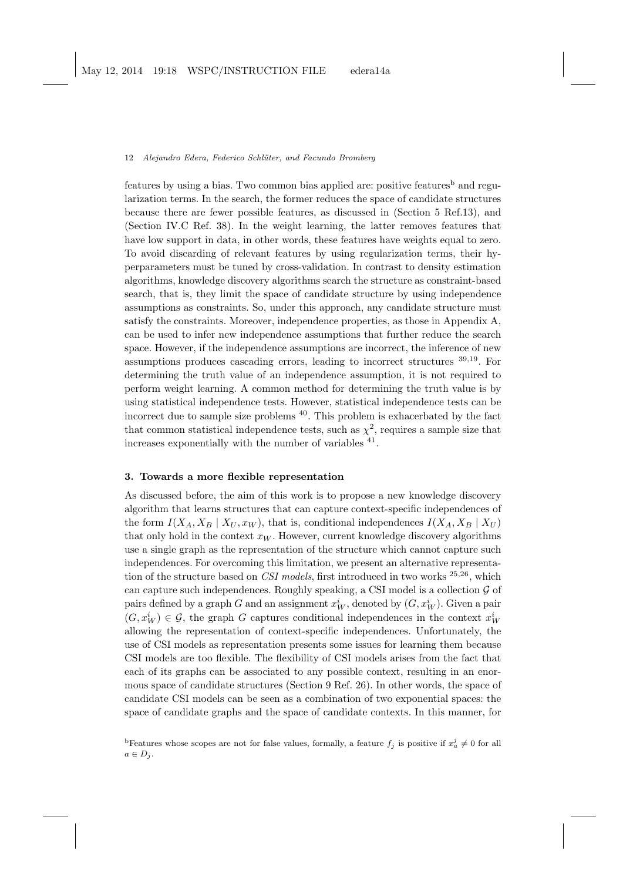features by using a bias. Two common bias applied are: positive features<sup>b</sup> and regularization terms. In the search, the former reduces the space of candidate structures because there are fewer possible features, as discussed in (Section 5 Ref.13), and (Section IV.C Ref. 38). In the weight learning, the latter removes features that have low support in data, in other words, these features have weights equal to zero. To avoid discarding of relevant features by using regularization terms, their hyperparameters must be tuned by cross-validation. In contrast to density estimation algorithms, knowledge discovery algorithms search the structure as constraint-based search, that is, they limit the space of candidate structure by using independence assumptions as constraints. So, under this approach, any candidate structure must satisfy the constraints. Moreover, independence properties, as those in Appendix A, can be used to infer new independence assumptions that further reduce the search space. However, if the independence assumptions are incorrect, the inference of new assumptions produces cascading errors, leading to incorrect structures  $39,19$ . For determining the truth value of an independence assumption, it is not required to perform weight learning. A common method for determining the truth value is by using statistical independence tests. However, statistical independence tests can be incorrect due to sample size problems  $40$ . This problem is exhacerbated by the fact that common statistical independence tests, such as  $\chi^2$ , requires a sample size that increases exponentially with the number of variables <sup>41</sup>.

# 3. Towards a more flexible representation

As discussed before, the aim of this work is to propose a new knowledge discovery algorithm that learns structures that can capture context-specific independences of the form  $I(X_A, X_B | X_U, x_W)$ , that is, conditional independences  $I(X_A, X_B | X_U)$ that only hold in the context  $x_W$ . However, current knowledge discovery algorithms use a single graph as the representation of the structure which cannot capture such independences. For overcoming this limitation, we present an alternative representation of the structure based on  $CSI$  models, first introduced in two works  $25,26$ , which can capture such independences. Roughly speaking, a CSI model is a collection  $\mathcal G$  of pairs defined by a graph G and an assignment  $x_W^i$ , denoted by  $(G, x_W^i)$ . Given a pair  $(G, x_W^i) \in \mathcal{G}$ , the graph G captures conditional independences in the context  $x_W^i$ allowing the representation of context-specific independences. Unfortunately, the use of CSI models as representation presents some issues for learning them because CSI models are too flexible. The flexibility of CSI models arises from the fact that each of its graphs can be associated to any possible context, resulting in an enormous space of candidate structures (Section 9 Ref. 26). In other words, the space of candidate CSI models can be seen as a combination of two exponential spaces: the space of candidate graphs and the space of candidate contexts. In this manner, for

<sup>b</sup>Features whose scopes are not for false values, formally, a feature  $f_j$  is positive if  $x_a^j \neq 0$  for all  $a \in D_i$ .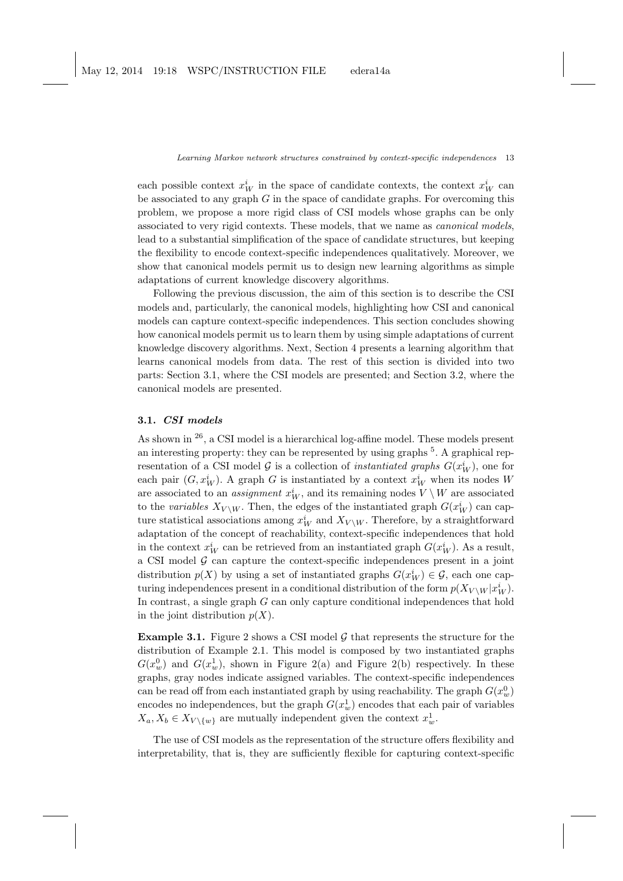each possible context  $x_W^i$  in the space of candidate contexts, the context  $x_W^i$  can be associated to any graph  $G$  in the space of candidate graphs. For overcoming this problem, we propose a more rigid class of CSI models whose graphs can be only associated to very rigid contexts. These models, that we name as canonical models, lead to a substantial simplification of the space of candidate structures, but keeping the flexibility to encode context-specific independences qualitatively. Moreover, we show that canonical models permit us to design new learning algorithms as simple adaptations of current knowledge discovery algorithms.

Following the previous discussion, the aim of this section is to describe the CSI models and, particularly, the canonical models, highlighting how CSI and canonical models can capture context-specific independences. This section concludes showing how canonical models permit us to learn them by using simple adaptations of current knowledge discovery algorithms. Next, Section 4 presents a learning algorithm that learns canonical models from data. The rest of this section is divided into two parts: Section 3.1, where the CSI models are presented; and Section 3.2, where the canonical models are presented.

# 3.1. CSI models

As shown in <sup>26</sup>, a CSI model is a hierarchical log-affine model. These models present an interesting property: they can be represented by using graphs<sup>5</sup>. A graphical representation of a CSI model  $\mathcal G$  is a collection of *instantiated graphs*  $G(x_W^i)$ , one for each pair  $(G, x_W^i)$ . A graph G is instantiated by a context  $x_W^i$  when its nodes W are associated to an *assignment*  $x_W^i$ , and its remaining nodes  $V \setminus W$  are associated to the variables  $X_{V \setminus W}$ . Then, the edges of the instantiated graph  $G(x_W^i)$  can capture statistical associations among  $x_W^i$  and  $X_{V \setminus W}$ . Therefore, by a straightforward adaptation of the concept of reachability, context-specific independences that hold in the context  $x_W^i$  can be retrieved from an instantiated graph  $G(x_W^i)$ . As a result, a CSI model  $\mathcal G$  can capture the context-specific independences present in a joint distribution  $p(X)$  by using a set of instantiated graphs  $G(x_W^i) \in \mathcal{G}$ , each one capturing independences present in a conditional distribution of the form  $p(X_{V \setminus W} | x_W^i)$ . In contrast, a single graph G can only capture conditional independences that hold in the joint distribution  $p(X)$ .

**Example 3.1.** Figure 2 shows a CSI model G that represents the structure for the distribution of Example 2.1. This model is composed by two instantiated graphs  $G(x_w^0)$  and  $G(x_w^1)$ , shown in Figure 2(a) and Figure 2(b) respectively. In these graphs, gray nodes indicate assigned variables. The context-specific independences can be read off from each instantiated graph by using reachability. The graph  $G(x_w^0)$ encodes no independences, but the graph  $G(x_w^1)$  encodes that each pair of variables  $X_a, X_b \in X_{V \setminus \{w\}}$  are mutually independent given the context  $x_w^1$ .

The use of CSI models as the representation of the structure offers flexibility and interpretability, that is, they are sufficiently flexible for capturing context-specific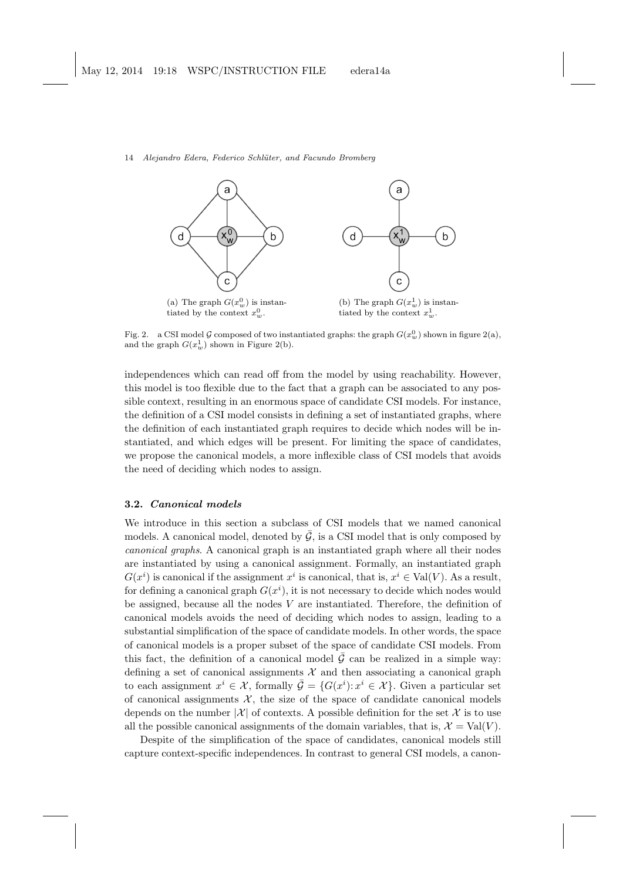

Fig. 2. a CSI model  $\mathcal G$  composed of two instantiated graphs: the graph  $G(x_w^0)$  shown in figure 2(a), and the graph  $G(x_w^1)$  shown in Figure 2(b).

independences which can read off from the model by using reachability. However, this model is too flexible due to the fact that a graph can be associated to any possible context, resulting in an enormous space of candidate CSI models. For instance, the definition of a CSI model consists in defining a set of instantiated graphs, where the definition of each instantiated graph requires to decide which nodes will be instantiated, and which edges will be present. For limiting the space of candidates, we propose the canonical models, a more inflexible class of CSI models that avoids the need of deciding which nodes to assign.

## 3.2. Canonical models

We introduce in this section a subclass of CSI models that we named canonical models. A canonical model, denoted by  $\overline{G}$ , is a CSI model that is only composed by canonical graphs. A canonical graph is an instantiated graph where all their nodes are instantiated by using a canonical assignment. Formally, an instantiated graph  $G(x^{i})$  is canonical if the assignment  $x^{i}$  is canonical, that is,  $x^{i} \in Val(V)$ . As a result, for defining a canonical graph  $G(x^i)$ , it is not necessary to decide which nodes would be assigned, because all the nodes  $V$  are instantiated. Therefore, the definition of canonical models avoids the need of deciding which nodes to assign, leading to a substantial simplification of the space of candidate models. In other words, the space of canonical models is a proper subset of the space of candidate CSI models. From this fact, the definition of a canonical model  $\bar{G}$  can be realized in a simple way: defining a set of canonical assignments  $\mathcal X$  and then associating a canonical graph to each assignment  $x^i \in \mathcal{X}$ , formally  $\bar{\mathcal{G}} = \{G(x^i): x^i \in \mathcal{X}\}\$ . Given a particular set of canonical assignments  $X$ , the size of the space of candidate canonical models depends on the number  $|\mathcal{X}|$  of contexts. A possible definition for the set X is to use all the possible canonical assignments of the domain variables, that is,  $\mathcal{X} = \text{Val}(V)$ .

Despite of the simplification of the space of candidates, canonical models still capture context-specific independences. In contrast to general CSI models, a canon-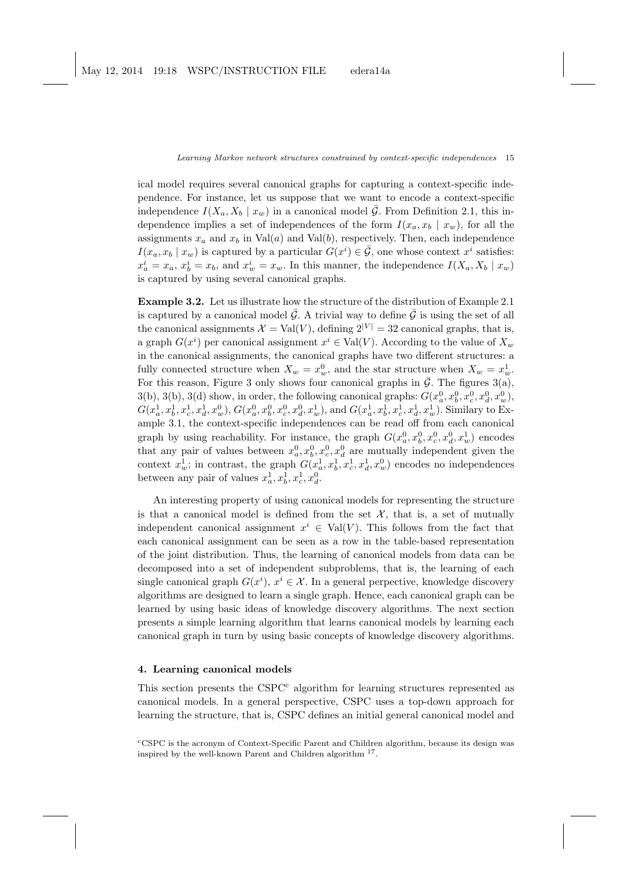ical model requires several canonical graphs for capturing a context-specific independence. For instance, let us suppose that we want to encode a context-specific independence  $I(X_a, X_b \mid x_w)$  in a canonical model  $\bar{\mathcal{G}}$ . From Definition 2.1, this independence implies a set of independences of the form  $I(x_a, x_b | x_w)$ , for all the assignments  $x_a$  and  $x_b$  in Val(a) and Val(b), respectively. Then, each independence  $I(x_a, x_b | x_w)$  is captured by a particular  $G(x^i) \in \overline{\mathcal{G}}$ , one whose context  $x^i$  satisfies:  $x_a^i = x_a, x_b^i = x_b$ , and  $x_w^i = x_w$ . In this manner, the independence  $I(X_a, X_b | x_w)$ is captured by using several canonical graphs.

Example 3.2. Let us illustrate how the structure of the distribution of Example 2.1 is captured by a canonical model  $\bar{\mathcal{G}}$ . A trivial way to define  $\bar{\mathcal{G}}$  is using the set of all the canonical assignments  $\mathcal{X} = \text{Val}(V)$ , defining  $2^{|V|} = 32$  canonical graphs, that is, a graph  $G(x^i)$  per canonical assignment  $x^i \in Val(V)$ . According to the value of  $X_w$ in the canonical assignments, the canonical graphs have two different structures: a fully connected structure when  $X_w = x_w^0$ , and the star structure when  $X_w = x_w^1$ . For this reason, Figure 3 only shows four canonical graphs in  $\overline{G}$ . The figures 3(a),  $3(b)$ ,  $3(b)$ ,  $3(d)$  show, in order, the following canonical graphs:  $G(x_a^0, x_b^0, x_c^0, x_d^0, x_w^0)$ ,  $G(x_a^1, x_b^1, x_c^1, x_d^1, x_w^0), G(x_a^0, x_b^0, x_c^0, x_d^0, x_w^1),$  and  $G(x_a^1, x_b^1, x_c^1, x_d^1, x_w^1)$ . Similary to Example 3.1, the context-specific independences can be read off from each canonical graph by using reachability. For instance, the graph  $G(x_a^0, x_b^0, x_c^0, x_d^0, x_w^1)$  encodes that any pair of values between  $x_a^0, x_b^0, x_c^0, x_d^0$  are mutually independent given the context  $x_w^1$ ; in contrast, the graph  $G(x_a^1, x_b^1, x_c^1, x_d^1, x_w^0)$  encodes no independences between any pair of values  $x_a^1, x_b^1, x_c^1, x_d^0$ .

An interesting property of using canonical models for representing the structure is that a canonical model is defined from the set  $\mathcal{X}$ , that is, a set of mutually independent canonical assignment  $x^i \in Val(V)$ . This follows from the fact that each canonical assignment can be seen as a row in the table-based representation of the joint distribution. Thus, the learning of canonical models from data can be decomposed into a set of independent subproblems, that is, the learning of each single canonical graph  $G(x^i)$ ,  $x^i \in \mathcal{X}$ . In a general perpective, knowledge discovery algorithms are designed to learn a single graph. Hence, each canonical graph can be learned by using basic ideas of knowledge discovery algorithms. The next section presents a simple learning algorithm that learns canonical models by learning each canonical graph in turn by using basic concepts of knowledge discovery algorithms.

## 4. Learning canonical models

This section presents the CSPC<sup>c</sup> algorithm for learning structures represented as canonical models. In a general perspective, CSPC uses a top-down approach for learning the structure, that is, CSPC defines an initial general canonical model and

<sup>c</sup>CSPC is the acronym of Context-Specific Parent and Children algorithm, because its design was inspired by the well-known Parent and Children algorithm <sup>17</sup>.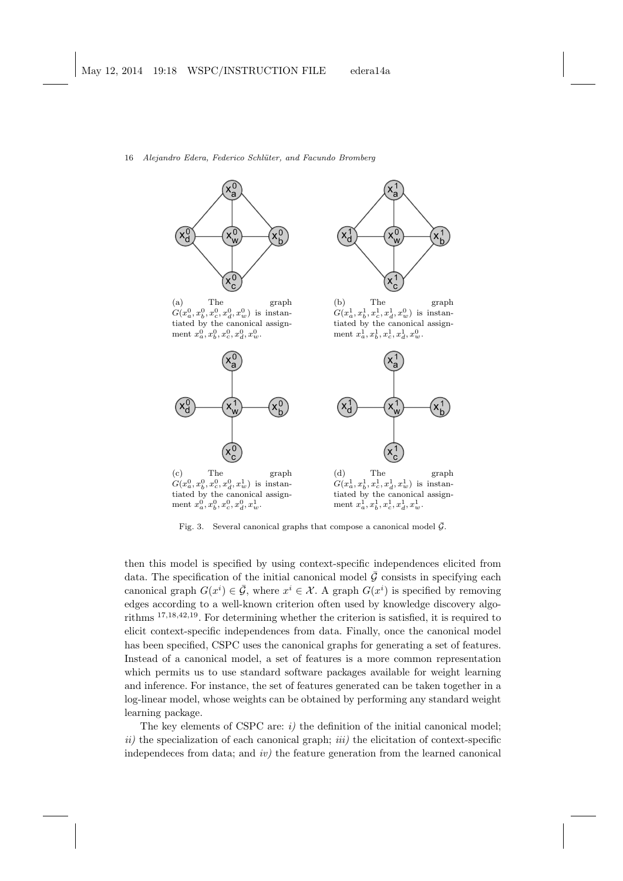

(a) The graph  $G(x_a^0, x_b^0, x_c^0, x_d^0, x_w^0)$  is instantiated by the canonical assignment  $x_a^0, x_b^0, x_c^0, x_d^0, x_w^0$ .





(b) The graph  $G(x_a^1, x_b^1, x_c^1, x_d^1, x_w^0)$  is instantiated by the canonical assignment  $x_a^1, x_b^1, x_c^1, x_d^1, x_w^0$ .



 $G(x_a^0, x_b^0, x_c^0, x_d^0, x_w^1)$  is instantiated by the canonical assignment  $x_a^0, x_b^0, x_c^0, x_d^0, x_w^1$ .

 $G(x_a^1, x_b^1, x_c^1, x_d^1, x_w^1)$  is instantiated by the canonical assignment  $x_a^1, x_b^1, x_c^1, x_d^1, x_w^1$ .

Fig. 3. Several canonical graphs that compose a canonical model  $\bar{G}$ .

then this model is specified by using context-specific independences elicited from data. The specification of the initial canonical model  $\bar{\mathcal{G}}$  consists in specifying each canonical graph  $G(x^i) \in \overline{G}$ , where  $x^i \in \mathcal{X}$ . A graph  $G(x^i)$  is specified by removing edges according to a well-known criterion often used by knowledge discovery algorithms <sup>17</sup>,18,42,<sup>19</sup>. For determining whether the criterion is satisfied, it is required to elicit context-specific independences from data. Finally, once the canonical model has been specified, CSPC uses the canonical graphs for generating a set of features. Instead of a canonical model, a set of features is a more common representation which permits us to use standard software packages available for weight learning and inference. For instance, the set of features generated can be taken together in a log-linear model, whose weights can be obtained by performing any standard weight learning package.

The key elements of CSPC are:  $i$ ) the definition of the initial canonical model;  $ii)$  the specialization of each canonical graph;  $iii)$  the elicitation of context-specific independeces from data; and  $iv$ ) the feature generation from the learned canonical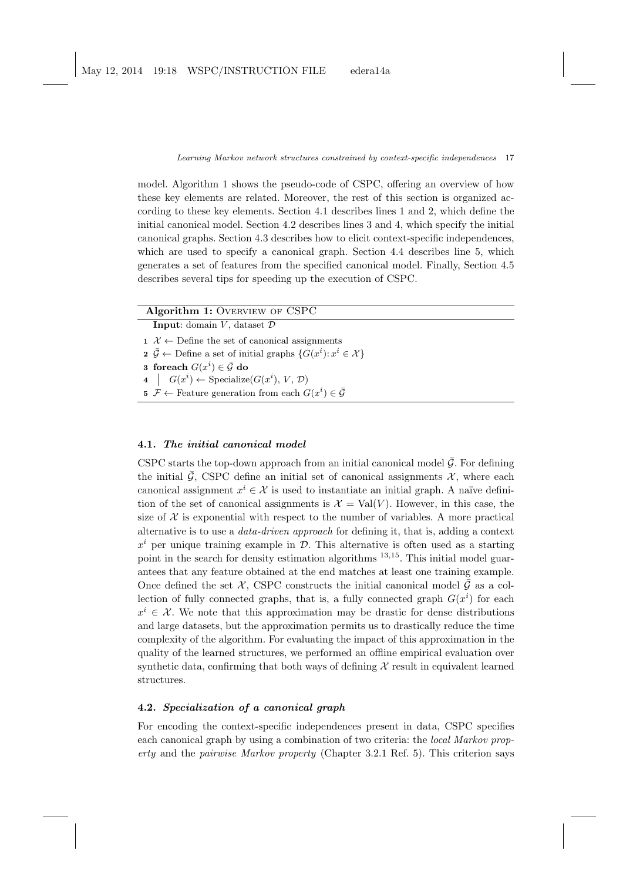model. Algorithm 1 shows the pseudo-code of CSPC, offering an overview of how these key elements are related. Moreover, the rest of this section is organized according to these key elements. Section 4.1 describes lines 1 and 2, which define the initial canonical model. Section 4.2 describes lines 3 and 4, which specify the initial canonical graphs. Section 4.3 describes how to elicit context-specific independences, which are used to specify a canonical graph. Section 4.4 describes line 5, which generates a set of features from the specified canonical model. Finally, Section 4.5 describes several tips for speeding up the execution of CSPC.

| Algorithm 1: OVERVIEW OF CSPC                                                                                 |
|---------------------------------------------------------------------------------------------------------------|
| <b>Input:</b> domain $V$ , dataset $D$                                                                        |
| $1 \mathcal{X} \leftarrow$ Define the set of canonical assignments                                            |
| $\mathbf{2} \ \bar{\mathcal{G}} \leftarrow$ Define a set of initial graphs $\{G(x^i): x^i \in \mathcal{X}\}\$ |
| 3 foreach $G(x^i) \in \overline{\mathcal{G}}$ do                                                              |
| 4 $G(x^i) \leftarrow \text{Specialize}(G(x^i), V, \mathcal{D})$                                               |
| 5 $\mathcal{F} \leftarrow$ Feature generation from each $G(x^{i}) \in \overline{\mathcal{G}}$                 |

# 4.1. The initial canonical model

CSPC starts the top-down approach from an initial canonical model  $\bar{\mathcal{G}}$ . For defining the initial  $\bar{\mathcal{G}}$ , CSPC define an initial set of canonical assignments  $\mathcal{X}$ , where each canonical assignment  $x^i \in \mathcal{X}$  is used to instantiate an initial graph. A naïve definition of the set of canonical assignments is  $\mathcal{X} = \text{Val}(V)$ . However, in this case, the size of  $X$  is exponential with respect to the number of variables. A more practical alternative is to use a data-driven approach for defining it, that is, adding a context  $x^i$  per unique training example in  $\mathcal{D}$ . This alternative is often used as a starting point in the search for density estimation algorithms <sup>13</sup>,15. This initial model guarantees that any feature obtained at the end matches at least one training example. Once defined the set X, CSPC constructs the initial canonical model  $\bar{\mathcal{G}}$  as a collection of fully connected graphs, that is, a fully connected graph  $G(x<sup>i</sup>)$  for each  $x^i \in \mathcal{X}$ . We note that this approximation may be drastic for dense distributions and large datasets, but the approximation permits us to drastically reduce the time complexity of the algorithm. For evaluating the impact of this approximation in the quality of the learned structures, we performed an offline empirical evaluation over synthetic data, confirming that both ways of defining  $\mathcal X$  result in equivalent learned structures.

# 4.2. Specialization of a canonical graph

For encoding the context-specific independences present in data, CSPC specifies each canonical graph by using a combination of two criteria: the local Markov property and the pairwise Markov property (Chapter 3.2.1 Ref. 5). This criterion says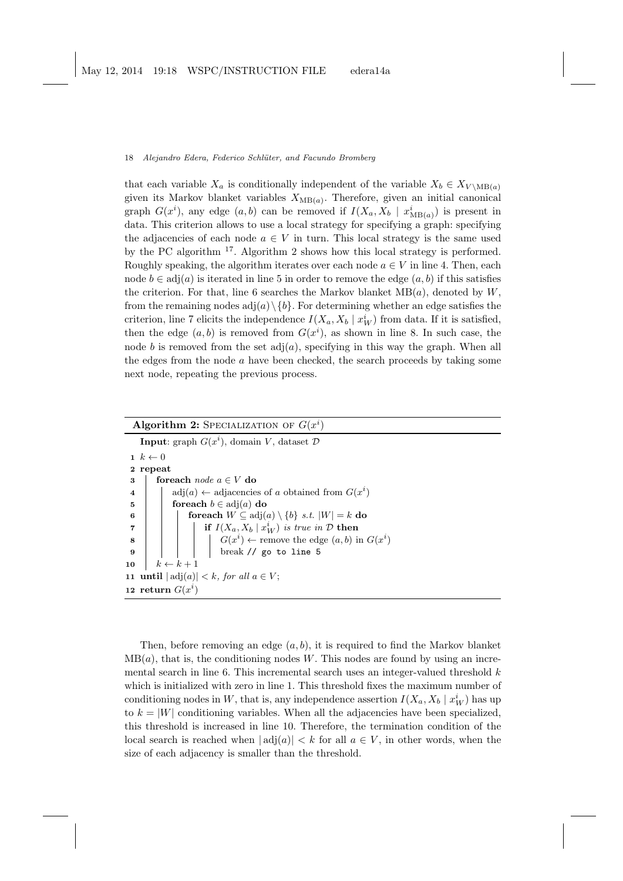that each variable  $X_a$  is conditionally independent of the variable  $X_b \in X_{V \setminus \text{MB}(a)}$ given its Markov blanket variables  $X_{\text{MB}(a)}$ . Therefore, given an initial canonical graph  $G(x^{i})$ , any edge  $(a, b)$  can be removed if  $I(X_{a}, X_{b} | x_{\text{MB}(a)}^{i})$  is present in data. This criterion allows to use a local strategy for specifying a graph: specifying the adjacencies of each node  $a \in V$  in turn. This local strategy is the same used by the PC algorithm <sup>17</sup>. Algorithm 2 shows how this local strategy is performed. Roughly speaking, the algorithm iterates over each node  $a \in V$  in line 4. Then, each node  $b \in adj(a)$  is iterated in line 5 in order to remove the edge  $(a, b)$  if this satisfies the criterion. For that, line 6 searches the Markov blanket  $MB(a)$ , denoted by W, from the remaining nodes  $adj(a) \setminus \{b\}$ . For determining whether an edge satisfies the criterion, line 7 elicits the independence  $I(X_a, X_b | x_W^i)$  from data. If it is satisfied, then the edge  $(a, b)$  is removed from  $G(x<sup>i</sup>)$ , as shown in line 8. In such case, the node  $b$  is removed from the set  $adj(a)$ , specifying in this way the graph. When all the edges from the node a have been checked, the search proceeds by taking some next node, repeating the previous process.

| <b>Algorithm 2:</b> SPECIALIZATION OF $G(x^i)$                                        |
|---------------------------------------------------------------------------------------|
| <b>Input:</b> graph $G(x^i)$ , domain V, dataset $D$                                  |
| $1 \; k \leftarrow 0$                                                                 |
| 2 repeat                                                                              |
| foreach node $a \in V$ do<br>3                                                        |
| $adj(a) \leftarrow adjacencies \text{ of } a \text{ obtained from } G(x^i)$<br>4      |
| $\overline{5}$<br>foreach $b \in \text{adj}(a)$ do                                    |
| $\bf{6}$<br>for each $W \subseteq adj(a) \setminus \{b\}$ s.t. $ W  = k$ do           |
| if $I(X_a, X_b   x_W^i)$ is true in $D$ then<br>$\overline{7}$                        |
| $\begin{array}{c} 8 \\ 9 \end{array}$                                                 |
| $G(x^{i}) \leftarrow$ remove the edge $(a, b)$ in $G(x^{i})$<br>break // go to line 5 |
| $k \leftarrow k+1$<br>10                                                              |
| 11 until $ \operatorname{adj}(a)  < k$ , for all $a \in V$ ;                          |
| 12 return $G(x^i)$                                                                    |

Then, before removing an edge  $(a, b)$ , it is required to find the Markov blanket  $MB(a)$ , that is, the conditioning nodes W. This nodes are found by using an incremental search in line 6. This incremental search uses an integer-valued threshold  $k$ which is initialized with zero in line 1. This threshold fixes the maximum number of conditioning nodes in W, that is, any independence assertion  $I(X_a, X_b | x_W^i)$  has up to  $k = |W|$  conditioning variables. When all the adjacencies have been specialized, this threshold is increased in line 10. Therefore, the termination condition of the local search is reached when  $| \operatorname{adi}(a) | \leq k$  for all  $a \in V$ , in other words, when the size of each adjacency is smaller than the threshold.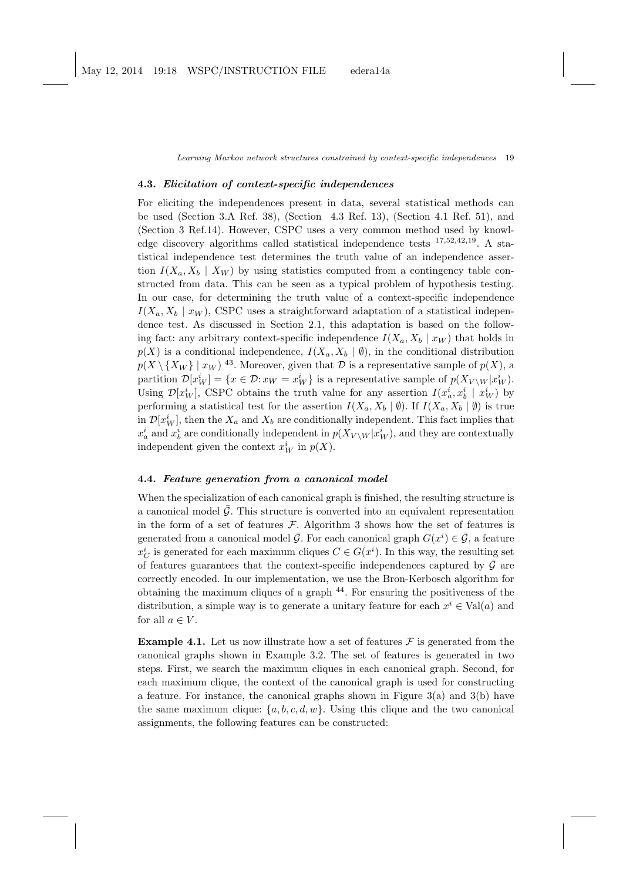## 4.3. Elicitation of context-specific independences

For eliciting the independences present in data, several statistical methods can be used (Section 3.A Ref. 38), (Section 4.3 Ref. 13), (Section 4.1 Ref. 51), and (Section 3 Ref.14). However, CSPC uses a very common method used by knowledge discovery algorithms called statistical independence tests <sup>17</sup>,52,42,19. A statistical independence test determines the truth value of an independence assertion  $I(X_a, X_b | X_W)$  by using statistics computed from a contingency table constructed from data. This can be seen as a typical problem of hypothesis testing. In our case, for determining the truth value of a context-specific independence  $I(X_a, X_b \mid x_W)$ , CSPC uses a straightforward adaptation of a statistical independence test. As discussed in Section 2.1, this adaptation is based on the following fact: any arbitrary context-specific independence  $I(X_a, X_b | x_W)$  that holds in  $p(X)$  is a conditional independence,  $I(X_a, X_b | \emptyset)$ , in the conditional distribution  $p(X \setminus \{X_W\} | x_W)$ <sup>43</sup>. Moreover, given that  $\mathcal D$  is a representative sample of  $p(X)$ , a partition  $\mathcal{D}[x_W^i] = \{x \in \mathcal{D}: x_W = x_W^i\}$  is a representative sample of  $p(X_{V \setminus W}|x_W^i)$ . Using  $\mathcal{D}[x_W^i]$ , CSPC obtains the truth value for any assertion  $I(x_a^i, x_b^i \mid x_W^i)$  by performing a statistical test for the assertion  $I(X_a, X_b | \emptyset)$ . If  $I(X_a, X_b | \emptyset)$  is true in  $\mathcal{D}[x_W^i]$ , then the  $X_a$  and  $X_b$  are conditionally independent. This fact implies that  $x_a^i$  and  $x_b^i$  are conditionally independent in  $p(X_{V \setminus W}|x_W^i)$ , and they are contextually independent given the context  $x_W^i$  in  $p(X)$ .

# 4.4. Feature generation from a canonical model

When the specialization of each canonical graph is finished, the resulting structure is a canonical model  $\bar{G}$ . This structure is converted into an equivalent representation in the form of a set of features  $\mathcal F$ . Algorithm 3 shows how the set of features is generated from a canonical model  $\bar{\mathcal{G}}$ . For each canonical graph  $G(x^i) \in \bar{\mathcal{G}}$ , a feature  $x_C^i$  is generated for each maximum cliques  $C \in G(x^i)$ . In this way, the resulting set of features guarantees that the context-specific independences captured by  $\bar{\mathcal{G}}$  are correctly encoded. In our implementation, we use the Bron-Kerbosch algorithm for obtaining the maximum cliques of a graph  $44$ . For ensuring the positiveness of the distribution, a simple way is to generate a unitary feature for each  $x^i \in Val(a)$  and for all  $a \in V$ .

**Example 4.1.** Let us now illustrate how a set of features  $\mathcal F$  is generated from the canonical graphs shown in Example 3.2. The set of features is generated in two steps. First, we search the maximum cliques in each canonical graph. Second, for each maximum clique, the context of the canonical graph is used for constructing a feature. For instance, the canonical graphs shown in Figure  $3(a)$  and  $3(b)$  have the same maximum clique:  $\{a, b, c, d, w\}$ . Using this clique and the two canonical assignments, the following features can be constructed: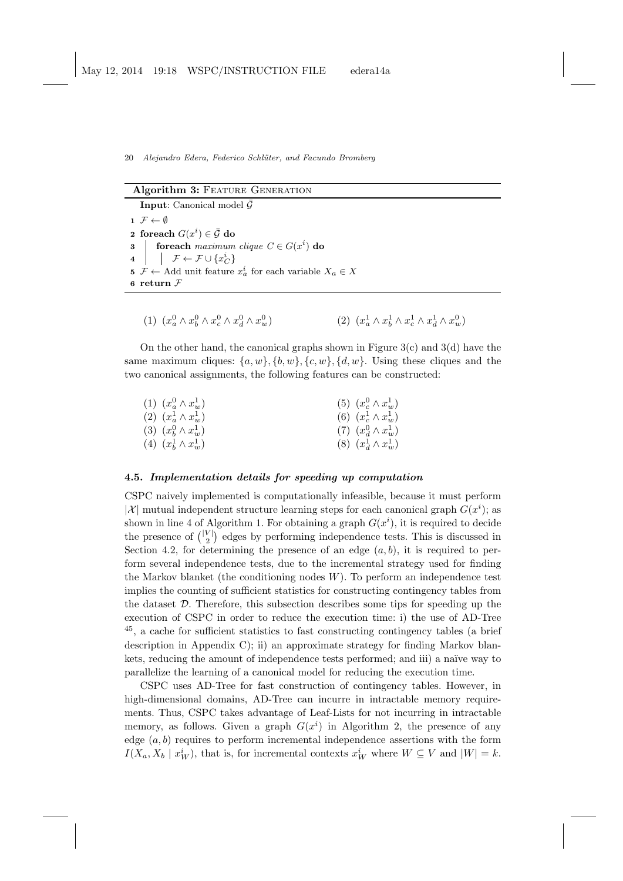## Algorithm 3: FEATURE GENERATION

**Input:** Canonical model  $\bar{G}$  $1 \mathcal{F} \leftarrow \emptyset$  $\mathbf 2 \;\text{ for each }\ G(x^i)\in \bar{\mathcal G} \;\textbf{do}$ 3 foreach maximum clique  $C \in G(x^i)$  do  $\begin{array}{c|c} \hline \texttt{4} & \end{array} \begin{array}{c} \end{array} \begin{array}{c} \end{array} \begin{array}{c} \mathcal{F} \leftarrow \mathcal{F} \cup \{x_C^i\} \end{array}$ 5  $\mathcal{F} \leftarrow$  Add unit feature  $x_a^i$  for each variable  $X_a \in X$ 6 return  $F$ 

| (1) $(x_a^0 \wedge x_b^0 \wedge x_c^0 \wedge x_d^0 \wedge x_w^0)$ | (2) $(x_a^1 \wedge x_b^1 \wedge x_c^1 \wedge x_d^1 \wedge x_w^0)$ |
|-------------------------------------------------------------------|-------------------------------------------------------------------|
|-------------------------------------------------------------------|-------------------------------------------------------------------|

On the other hand, the canonical graphs shown in Figure  $3(c)$  and  $3(d)$  have the same maximum cliques:  $\{a, w\}, \{b, w\}, \{c, w\}, \{d, w\}$ . Using these cliques and the two canonical assignments, the following features can be constructed:

| $(1)$ $(x_a^0 \wedge x_w^1)$ | $(5)$ $(x_c^0 \wedge x_w^1)$ |
|------------------------------|------------------------------|
| $(2)$ $(x_a^1 \wedge x_w^1)$ | $(6)$ $(x_c^1 \wedge x_w^1)$ |
| $(3)$ $(x_b^0 \wedge x_w^1)$ | $(7)$ $(x_d^0 \wedge x_w^1)$ |
| $(4)$ $(x_h^1 \wedge x_w^1)$ | $(8)$ $(x_d^1 \wedge x_w^1)$ |

## 4.5. Implementation details for speeding up computation

CSPC naively implemented is computationally infeasible, because it must perform |X| mutual independent structure learning steps for each canonical graph  $G(x<sup>i</sup>)$ ; as shown in line 4 of Algorithm 1. For obtaining a graph  $G(x<sup>i</sup>)$ , it is required to decide the presence of  $\binom{|V|}{2}$  edges by performing independence tests. This is discussed in Section 4.2, for determining the presence of an edge  $(a, b)$ , it is required to perform several independence tests, due to the incremental strategy used for finding the Markov blanket (the conditioning nodes  $W$ ). To perform an independence test implies the counting of sufficient statistics for constructing contingency tables from the dataset  $\mathcal D$ . Therefore, this subsection describes some tips for speeding up the execution of CSPC in order to reduce the execution time: i) the use of AD-Tree <sup>45</sup>, a cache for sufficient statistics to fast constructing contingency tables (a brief description in Appendix C); ii) an approximate strategy for finding Markov blankets, reducing the amount of independence tests performed; and iii) a naïve way to parallelize the learning of a canonical model for reducing the execution time.

CSPC uses AD-Tree for fast construction of contingency tables. However, in high-dimensional domains, AD-Tree can incurre in intractable memory requirements. Thus, CSPC takes advantage of Leaf-Lists for not incurring in intractable memory, as follows. Given a graph  $G(x<sup>i</sup>)$  in Algorithm 2, the presence of any edge  $(a, b)$  requires to perform incremental independence assertions with the form  $I(X_a, X_b | x_W^i)$ , that is, for incremental contexts  $x_W^i$  where  $W \subseteq V$  and  $|W| = k$ .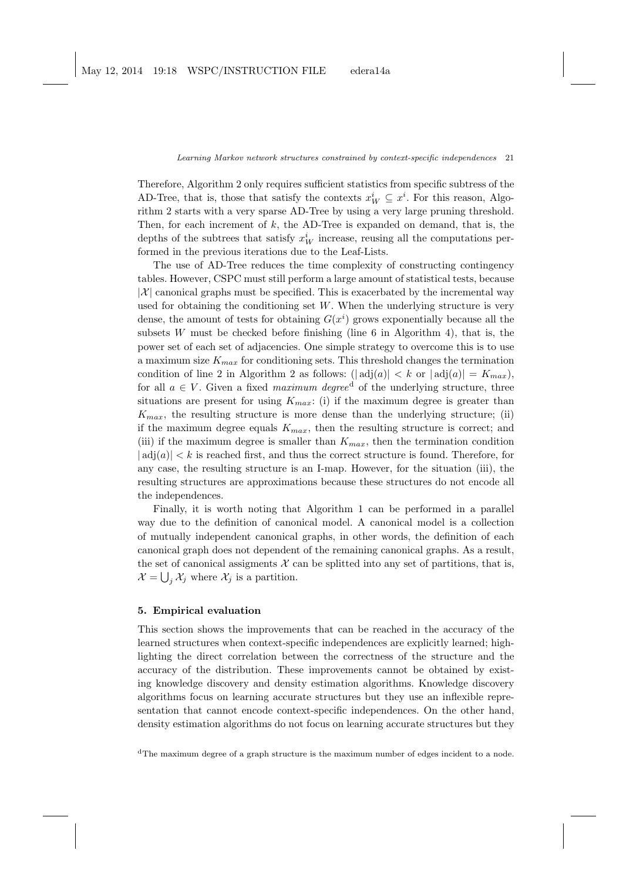Therefore, Algorithm 2 only requires sufficient statistics from specific subtress of the AD-Tree, that is, those that satisfy the contexts  $x_W^i \subseteq x^i$ . For this reason, Algorithm 2 starts with a very sparse AD-Tree by using a very large pruning threshold. Then, for each increment of  $k$ , the AD-Tree is expanded on demand, that is, the depths of the subtrees that satisfy  $x_W^i$  increase, reusing all the computations performed in the previous iterations due to the Leaf-Lists.

The use of AD-Tree reduces the time complexity of constructing contingency tables. However, CSPC must still perform a large amount of statistical tests, because  $|\mathcal{X}|$  canonical graphs must be specified. This is exacerbated by the incremental way used for obtaining the conditioning set  $W$ . When the underlying structure is very dense, the amount of tests for obtaining  $G(x<sup>i</sup>)$  grows exponentially because all the subsets  $W$  must be checked before finishing (line 6 in Algorithm 4), that is, the power set of each set of adjacencies. One simple strategy to overcome this is to use a maximum size  $K_{max}$  for conditioning sets. This threshold changes the termination condition of line 2 in Algorithm 2 as follows:  $(|\text{adj}(a)| < k \text{ or } |\text{adj}(a)| = K_{max}$ , for all  $a \in V$ . Given a fixed maximum degree<sup>d</sup> of the underlying structure, three situations are present for using  $K_{max}$ : (i) if the maximum degree is greater than  $K_{max}$ , the resulting structure is more dense than the underlying structure; (ii) if the maximum degree equals  $K_{max}$ , then the resulting structure is correct; and (iii) if the maximum degree is smaller than  $K_{max}$ , then the termination condition  $|{\rm adj}(a)| < k$  is reached first, and thus the correct structure is found. Therefore, for any case, the resulting structure is an I-map. However, for the situation (iii), the resulting structures are approximations because these structures do not encode all the independences.

Finally, it is worth noting that Algorithm 1 can be performed in a parallel way due to the definition of canonical model. A canonical model is a collection of mutually independent canonical graphs, in other words, the definition of each canonical graph does not dependent of the remaining canonical graphs. As a result, the set of canonical assigments  $\mathcal X$  can be splitted into any set of partitions, that is,  $\mathcal{X} = \bigcup_j \mathcal{X}_j$  where  $\mathcal{X}_j$  is a partition.

## 5. Empirical evaluation

This section shows the improvements that can be reached in the accuracy of the learned structures when context-specific independences are explicitly learned; highlighting the direct correlation between the correctness of the structure and the accuracy of the distribution. These improvements cannot be obtained by existing knowledge discovery and density estimation algorithms. Knowledge discovery algorithms focus on learning accurate structures but they use an inflexible representation that cannot encode context-specific independences. On the other hand, density estimation algorithms do not focus on learning accurate structures but they

<sup>d</sup>The maximum degree of a graph structure is the maximum number of edges incident to a node.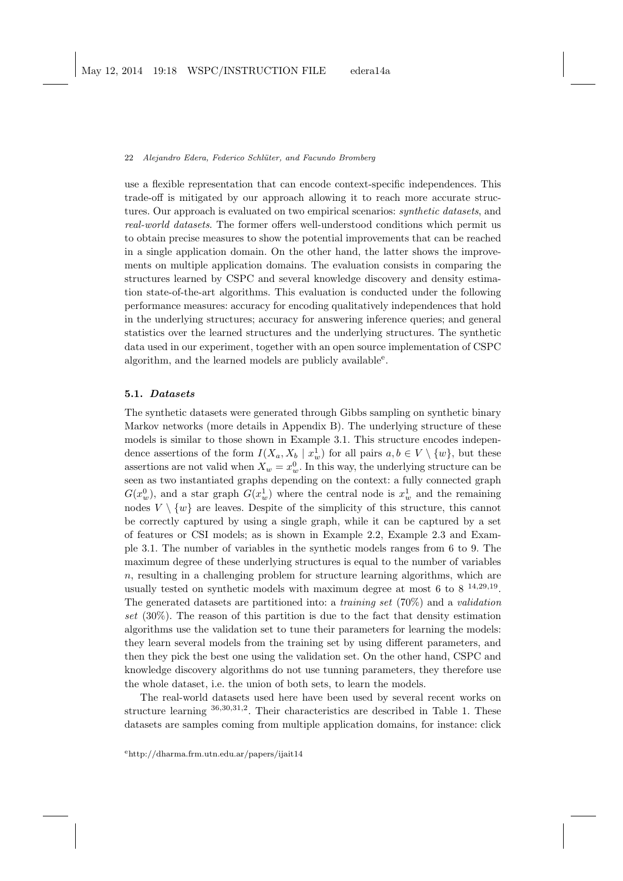use a flexible representation that can encode context-specific independences. This trade-off is mitigated by our approach allowing it to reach more accurate structures. Our approach is evaluated on two empirical scenarios: *synthetic datasets*, and real-world datasets. The former offers well-understood conditions which permit us to obtain precise measures to show the potential improvements that can be reached in a single application domain. On the other hand, the latter shows the improvements on multiple application domains. The evaluation consists in comparing the structures learned by CSPC and several knowledge discovery and density estimation state-of-the-art algorithms. This evaluation is conducted under the following performance measures: accuracy for encoding qualitatively independences that hold in the underlying structures; accuracy for answering inference queries; and general statistics over the learned structures and the underlying structures. The synthetic data used in our experiment, together with an open source implementation of CSPC algorithm, and the learned models are publicly available<sup>e</sup>.

# 5.1. Datasets

The synthetic datasets were generated through Gibbs sampling on synthetic binary Markov networks (more details in Appendix B). The underlying structure of these models is similar to those shown in Example 3.1. This structure encodes independence assertions of the form  $I(X_a, X_b \mid x_w^1)$  for all pairs  $a, b \in V \setminus \{w\}$ , but these assertions are not valid when  $X_w = x_w^0$ . In this way, the underlying structure can be seen as two instantiated graphs depending on the context: a fully connected graph  $G(x_w^0)$ , and a star graph  $G(x_w^1)$  where the central node is  $x_w^1$  and the remaining nodes  $V \setminus \{w\}$  are leaves. Despite of the simplicity of this structure, this cannot be correctly captured by using a single graph, while it can be captured by a set of features or CSI models; as is shown in Example 2.2, Example 2.3 and Example 3.1. The number of variables in the synthetic models ranges from 6 to 9. The maximum degree of these underlying structures is equal to the number of variables  $n$ , resulting in a challenging problem for structure learning algorithms, which are usually tested on synthetic models with maximum degree at most 6 to 8  $^{14,29,19}$ . The generated datasets are partitioned into: a *training set* (70%) and a *validation* set (30%). The reason of this partition is due to the fact that density estimation algorithms use the validation set to tune their parameters for learning the models: they learn several models from the training set by using different parameters, and then they pick the best one using the validation set. On the other hand, CSPC and knowledge discovery algorithms do not use tunning parameters, they therefore use the whole dataset, i.e. the union of both sets, to learn the models.

The real-world datasets used here have been used by several recent works on structure learning  $36,30,31,2$ . Their characteristics are described in Table 1. These datasets are samples coming from multiple application domains, for instance: click

<sup>e</sup>http://dharma.frm.utn.edu.ar/papers/ijait14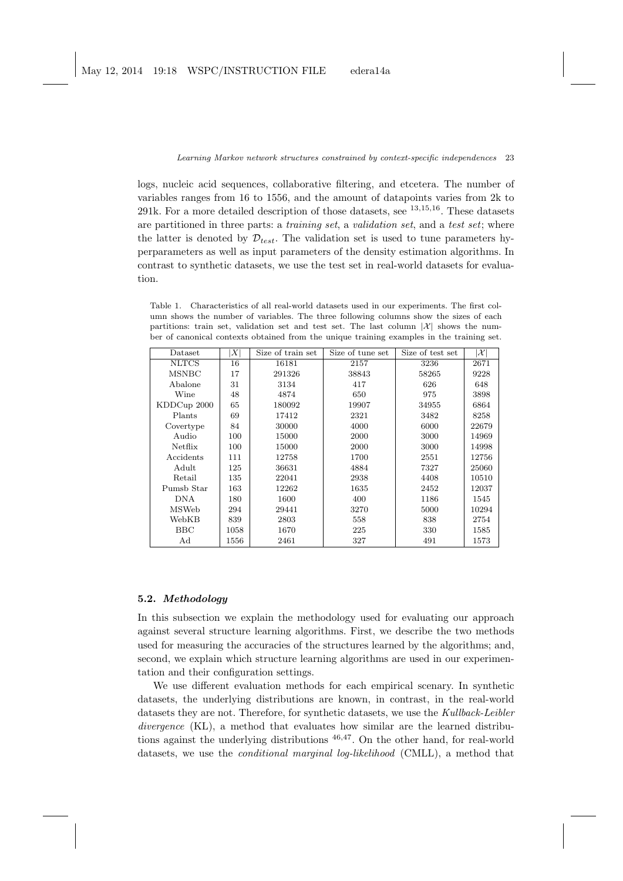logs, nucleic acid sequences, collaborative filtering, and etcetera. The number of variables ranges from 16 to 1556, and the amount of datapoints varies from 2k to 291k. For a more detailed description of those datasets, see  $^{13,15,16}$ . These datasets are partitioned in three parts: a *training set*, a *validation set*, and a *test set*; where the latter is denoted by  $\mathcal{D}_{test}$ . The validation set is used to tune parameters hyperparameters as well as input parameters of the density estimation algorithms. In contrast to synthetic datasets, we use the test set in real-world datasets for evaluation.

Table 1. Characteristics of all real-world datasets used in our experiments. The first column shows the number of variables. The three following columns show the sizes of each partitions: train set, validation set and test set. The last column  $|\mathcal{X}|$  shows the number of canonical contexts obtained from the unique training examples in the training set.

| Dataset      | X    | Size of train set | Size of tune set | Size of test set | $\mathcal{X}$ |
|--------------|------|-------------------|------------------|------------------|---------------|
| <b>NLTCS</b> | 16   | 16181             | 2157             | 3236             | 2671          |
| <b>MSNBC</b> | 17   | 291326            | 38843            | 58265            | 9228          |
| Abalone      | 31   | 3134              | 417              | 626              | 648           |
| Wine         | 48   | 4874              | 650              | 975              | 3898          |
| KDDCup 2000  | 65   | 180092            | 19907            | 34955            | 6864          |
| Plants       | 69   | 17412             | 2321             | 3482             | 8258          |
| Covertype    | 84   | 30000             | 4000             | 6000             | 22679         |
| Audio        | 100  | 15000             | 2000             | 3000             | 14969         |
| Netflix      | 100  | 15000             | 2000             | 3000             | 14998         |
| Accidents    | 111  | 12758             | 1700             | 2551             | 12756         |
| Adult        | 125  | 36631             | 4884             | 7327             | 25060         |
| Retail       | 135  | 22041             | 2938             | 4408             | 10510         |
| Pumsb Star   | 163  | 12262             | 1635             | 2452             | 12037         |
| DNA          | 180  | 1600              | 400              | 1186             | 1545          |
| <b>MSWeb</b> | 294  | 29441             | 3270             | 5000             | 10294         |
| WebKB        | 839  | 2803              | 558              | 838              | 2754          |
| <b>BBC</b>   | 1058 | 1670              | 225              | 330              | 1585          |
| Ad           | 1556 | 2461              | 327              | 491              | 1573          |

# 5.2. Methodology

In this subsection we explain the methodology used for evaluating our approach against several structure learning algorithms. First, we describe the two methods used for measuring the accuracies of the structures learned by the algorithms; and, second, we explain which structure learning algorithms are used in our experimentation and their configuration settings.

We use different evaluation methods for each empirical scenary. In synthetic datasets, the underlying distributions are known, in contrast, in the real-world datasets they are not. Therefore, for synthetic datasets, we use the Kullback-Leibler divergence (KL), a method that evaluates how similar are the learned distributions against the underlying distributions <sup>46</sup>,<sup>47</sup>. On the other hand, for real-world datasets, we use the conditional marginal log-likelihood (CMLL), a method that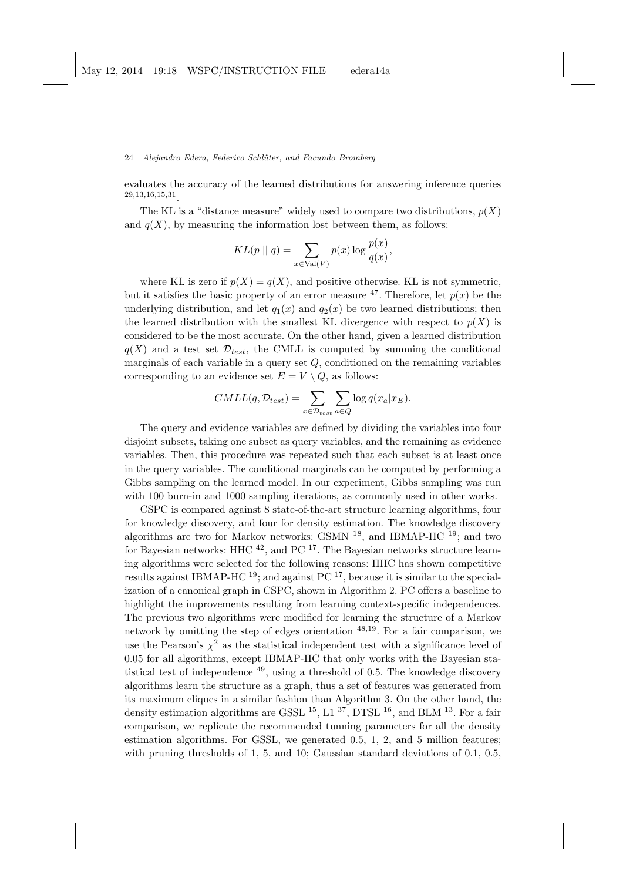evaluates the accuracy of the learned distributions for answering inference queries 29,13,16,15,31 .

The KL is a "distance measure" widely used to compare two distributions,  $p(X)$ and  $q(X)$ , by measuring the information lost between them, as follows:

$$
KL(p \mid q) = \sum_{x \in \text{Val}(V)} p(x) \log \frac{p(x)}{q(x)},
$$

where KL is zero if  $p(X) = q(X)$ , and positive otherwise. KL is not symmetric, but it satisfies the basic property of an error measure  $47$ . Therefore, let  $p(x)$  be the underlying distribution, and let  $q_1(x)$  and  $q_2(x)$  be two learned distributions; then the learned distribution with the smallest KL divergence with respect to  $p(X)$  is considered to be the most accurate. On the other hand, given a learned distribution  $q(X)$  and a test set  $\mathcal{D}_{test}$ , the CMLL is computed by summing the conditional marginals of each variable in a query set  $Q$ , conditioned on the remaining variables corresponding to an evidence set  $E = V \setminus Q$ , as follows:

$$
CMLL(q, \mathcal{D}_{test}) = \sum_{x \in \mathcal{D}_{test}} \sum_{a \in Q} \log q(x_a | x_E).
$$

The query and evidence variables are defined by dividing the variables into four disjoint subsets, taking one subset as query variables, and the remaining as evidence variables. Then, this procedure was repeated such that each subset is at least once in the query variables. The conditional marginals can be computed by performing a Gibbs sampling on the learned model. In our experiment, Gibbs sampling was run with 100 burn-in and 1000 sampling iterations, as commonly used in other works.

CSPC is compared against 8 state-of-the-art structure learning algorithms, four for knowledge discovery, and four for density estimation. The knowledge discovery algorithms are two for Markov networks: GSMN  $^{18}$ , and IBMAP-HC  $^{19}$ ; and two for Bayesian networks: HHC  $^{42}$ , and PC  $^{17}$ . The Bayesian networks structure learning algorithms were selected for the following reasons: HHC has shown competitive results against IBMAP-HC  $^{19}$ ; and against PC  $^{17}$ , because it is similar to the specialization of a canonical graph in CSPC, shown in Algorithm 2. PC offers a baseline to highlight the improvements resulting from learning context-specific independences. The previous two algorithms were modified for learning the structure of a Markov network by omitting the step of edges orientation  $48,19$ . For a fair comparison, we use the Pearson's  $\chi^2$  as the statistical independent test with a significance level of 0.05 for all algorithms, except IBMAP-HC that only works with the Bayesian statistical test of independence  $49$ , using a threshold of 0.5. The knowledge discovery algorithms learn the structure as a graph, thus a set of features was generated from its maximum cliques in a similar fashion than Algorithm 3. On the other hand, the density estimation algorithms are GSSL  $^{15}$ , L1  $^{37}$ , DTSL  $^{16}$ , and BLM  $^{13}$ . For a fair comparison, we replicate the recommended tunning parameters for all the density estimation algorithms. For GSSL, we generated 0.5, 1, 2, and 5 million features; with pruning thresholds of 1, 5, and 10; Gaussian standard deviations of 0.1, 0.5,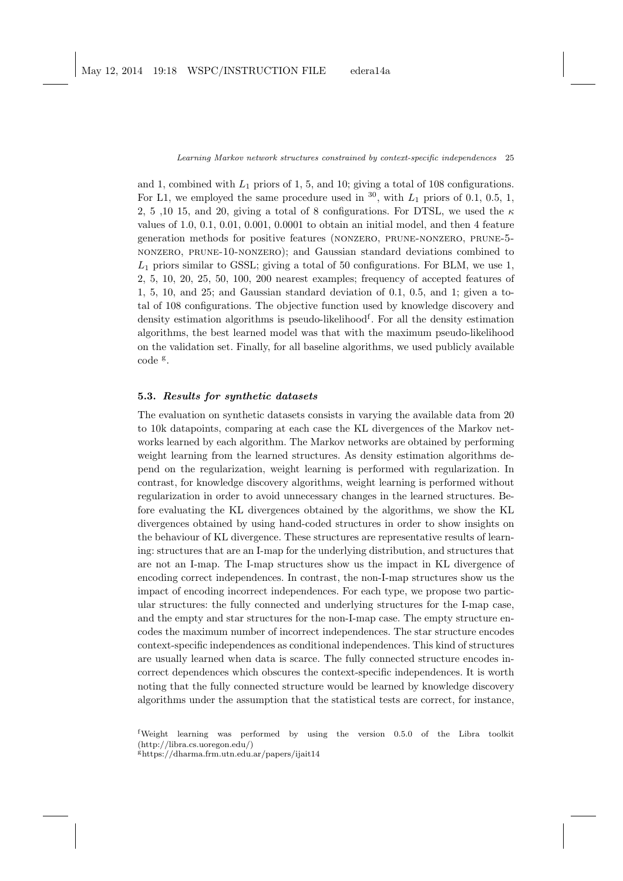and 1, combined with  $L_1$  priors of 1, 5, and 10; giving a total of 108 configurations. For L1, we employed the same procedure used in  $^{30}$ , with  $L_1$  priors of 0.1, 0.5, 1, 2, 5, 10, 15, and 20, giving a total of 8 configurations. For DTSL, we used the  $\kappa$ values of 1.0, 0.1, 0.01, 0.001, 0.0001 to obtain an initial model, and then 4 feature generation methods for positive features (nonzero, prune-nonzero, prune-5 nonzero, prune-10-nonzero); and Gaussian standard deviations combined to  $L_1$  priors similar to GSSL; giving a total of 50 configurations. For BLM, we use 1, 2, 5, 10, 20, 25, 50, 100, 200 nearest examples; frequency of accepted features of 1, 5, 10, and 25; and Gaussian standard deviation of 0.1, 0.5, and 1; given a total of 108 configurations. The objective function used by knowledge discovery and density estimation algorithms is pseudo-likelihood<sup>f</sup>. For all the density estimation algorithms, the best learned model was that with the maximum pseudo-likelihood on the validation set. Finally, for all baseline algorithms, we used publicly available code<sup>g</sup>.

# 5.3. Results for synthetic datasets

The evaluation on synthetic datasets consists in varying the available data from 20 to 10k datapoints, comparing at each case the KL divergences of the Markov networks learned by each algorithm. The Markov networks are obtained by performing weight learning from the learned structures. As density estimation algorithms depend on the regularization, weight learning is performed with regularization. In contrast, for knowledge discovery algorithms, weight learning is performed without regularization in order to avoid unnecessary changes in the learned structures. Before evaluating the KL divergences obtained by the algorithms, we show the KL divergences obtained by using hand-coded structures in order to show insights on the behaviour of KL divergence. These structures are representative results of learning: structures that are an I-map for the underlying distribution, and structures that are not an I-map. The I-map structures show us the impact in KL divergence of encoding correct independences. In contrast, the non-I-map structures show us the impact of encoding incorrect independences. For each type, we propose two particular structures: the fully connected and underlying structures for the I-map case, and the empty and star structures for the non-I-map case. The empty structure encodes the maximum number of incorrect independences. The star structure encodes context-specific independences as conditional independences. This kind of structures are usually learned when data is scarce. The fully connected structure encodes incorrect dependences which obscures the context-specific independences. It is worth noting that the fully connected structure would be learned by knowledge discovery algorithms under the assumption that the statistical tests are correct, for instance,

<sup>f</sup>Weight learning was performed by using the version 0.5.0 of the Libra toolkit (http://libra.cs.uoregon.edu/)

<sup>g</sup>https://dharma.frm.utn.edu.ar/papers/ijait14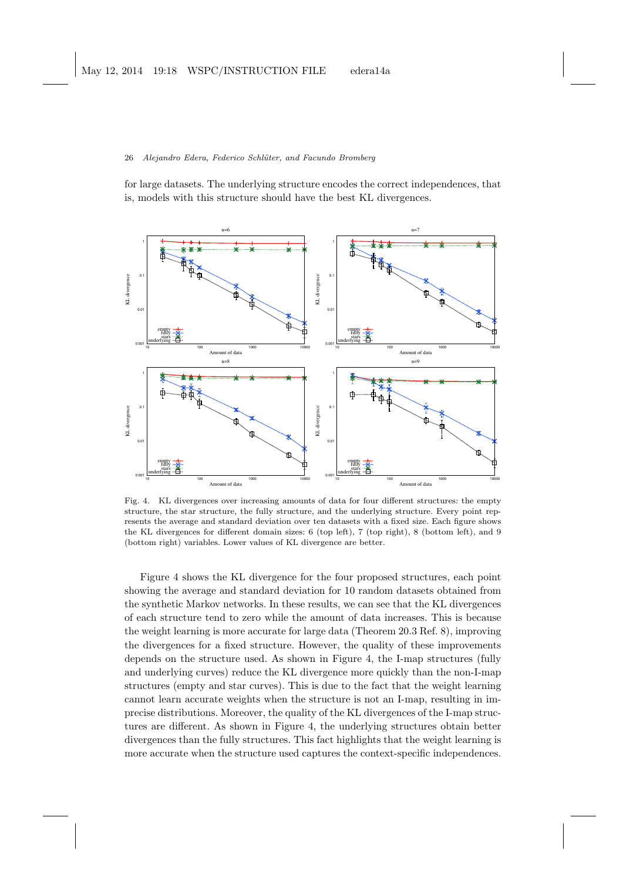for large datasets. The underlying structure encodes the correct independences, that is, models with this structure should have the best KL divergences.



Fig. 4. KL divergences over increasing amounts of data for four different structures: the empty structure, the star structure, the fully structure, and the underlying structure. Every point represents the average and standard deviation over ten datasets with a fixed size. Each figure shows the KL divergences for different domain sizes: 6 (top left), 7 (top right), 8 (bottom left), and 9 (bottom right) variables. Lower values of KL divergence are better.

Figure 4 shows the KL divergence for the four proposed structures, each point showing the average and standard deviation for 10 random datasets obtained from the synthetic Markov networks. In these results, we can see that the KL divergences of each structure tend to zero while the amount of data increases. This is because the weight learning is more accurate for large data (Theorem 20.3 Ref. 8), improving the divergences for a fixed structure. However, the quality of these improvements depends on the structure used. As shown in Figure 4, the I-map structures (fully and underlying curves) reduce the KL divergence more quickly than the non-I-map structures (empty and star curves). This is due to the fact that the weight learning cannot learn accurate weights when the structure is not an I-map, resulting in imprecise distributions. Moreover, the quality of the KL divergences of the I-map structures are different. As shown in Figure 4, the underlying structures obtain better divergences than the fully structures. This fact highlights that the weight learning is more accurate when the structure used captures the context-specific independences.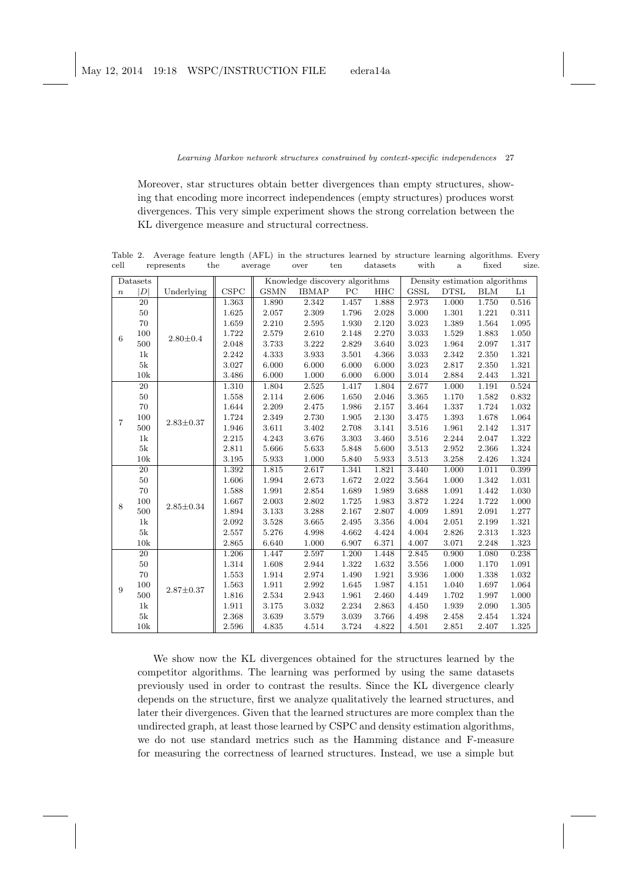Moreover, star structures obtain better divergences than empty structures, showing that encoding more incorrect independences (empty structures) produces worst divergences. This very simple experiment shows the strong correlation between the KL divergence measure and structural correctness.

cell represents the average over ten datasets with a fixed size. Datasets Knowledge discovery algorithms Density estimation algorithms  $n$  |D| | Underlying || CSPC || GSMN IBMAP PC HHC | GSSL DTSL BLM L1 6 20 2.80±0.4 1.363 1.890 2.342 1.457 1.888 2.973 1.000 1.750 0.516 50 1.625 2.057 2.309 1.796 2.028 3.000 1.301 1.221 0.311  $70$  | 1.659 | 2.210 2.595 1.930 2.120 | 3.023 1.389 1.564 1.095  $100$  |  $0.80104$  |  $1.722$  ||  $2.579$   $2.610$   $2.148$   $2.270$  |  $3.033$   $1.529$   $1.883$   $1.050$ 500 2.048 3.733 3.222 2.829 3.640 3.023 1.964 2.097 1.317 1k 2.242 4.333 3.933 3.501 4.366 3.033 2.342 2.350 1.321 5k 3.027 6.000 6.000 6.000 6.000 3.023 2.817 2.350 1.321 10k 3.486 6.000 1.000 6.000 6.000 3.014 2.884 2.443 1.321 7 20 2.83±0.37 1.310 1.804 2.525 1.417 1.804 2.677 1.000 1.191 0.524 50 1.558 2.114 2.606 1.650 2.046 3.365 1.170 1.582 0.832 70 1.644 2.209 2.475 1.986 2.157 3.464 1.337 1.724 1.032 100 1.724 2.349 2.730 1.905 2.130 3.475 1.393 1.678 1.064 500 1.946 3.611 3.402 2.708 3.141 3.516 1.961 2.142 1.317 1k 2.215 4.243 3.676 3.303 3.460 3.516 2.244 2.047 1.322 5k 2.811 5.666 5.633 5.848 5.600 3.513 2.952 2.366 1.324 10k | 3.195 || 5.933 1.000 5.840 5.933 | 3.513 3.258 2.426 1.324 8 20 2.85±0.34 1.392 1.815 2.617 1.341 1.821 3.440 1.000 1.011 0.399 50 1.606 1.994 2.673 1.672 2.022 3.564 1.000 1.342 1.031  $70$  | 1.588 | 1.991 2.854 1.689 1.989 3.688 1.091 1.442 1.030 100 1.667 2.003 2.802 1.725 1.983 3.872 1.224 1.722 1.000 500 1.894 3.133 3.288 2.167 2.807 4.009 1.891 2.091 1.277 1k 2.092 3.528 3.665 2.495 3.356 4.004 2.051 2.199 1.321 5k 2.557 5.276 4.998 4.662 4.424 4.004 2.826 2.313 1.323 10k 2.865 6.640 1.000 6.907 6.371 4.007 3.071 2.248 1.323 9 20 2.87±0.37 1.206 1.447 2.597 1.200 1.448 2.845 0.900 1.080 0.238 50 1.314 1.608 2.944 1.322 1.632 3.556 1.000 1.170 1.091 70 1.553 1.914 2.974 1.490 1.921 3.936 1.000 1.338 1.032 100 1.563 1.911 2.992 1.645 1.987 4.151 1.040 1.697 1.064 500 1.816 2.534 2.943 1.961 2.460 4.449 1.702 1.997 1.000

Table 2. Average feature length (AFL) in the structures learned by structure learning algorithms. Every

We show now the KL divergences obtained for the structures learned by the competitor algorithms. The learning was performed by using the same datasets previously used in order to contrast the results. Since the KL divergence clearly depends on the structure, first we analyze qualitatively the learned structures, and later their divergences. Given that the learned structures are more complex than the undirected graph, at least those learned by CSPC and density estimation algorithms, we do not use standard metrics such as the Hamming distance and F-measure for measuring the correctness of learned structures. Instead, we use a simple but

1k 1.911 3.175 3.032 2.234 2.863 4.450 1.939 2.090 1.305 5k 2.368 3.639 3.579 3.039 3.766 4.498 2.458 2.454 1.324 10k 2.596 4.835 4.514 3.724 4.822 4.501 2.851 2.407 1.325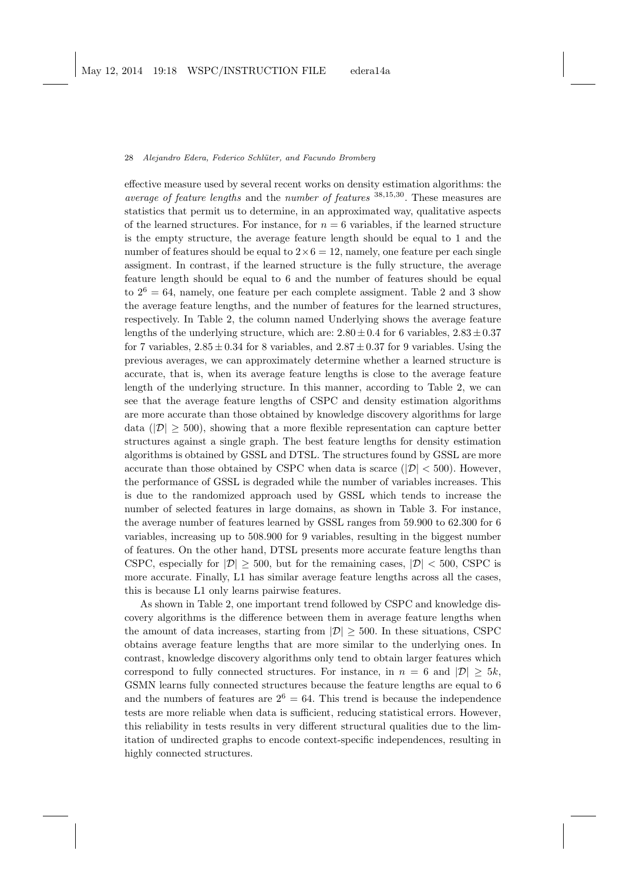effective measure used by several recent works on density estimation algorithms: the average of feature lengths and the number of features  $38,15,30$ . These measures are statistics that permit us to determine, in an approximated way, qualitative aspects of the learned structures. For instance, for  $n = 6$  variables, if the learned structure is the empty structure, the average feature length should be equal to 1 and the number of features should be equal to  $2 \times 6 = 12$ , namely, one feature per each single assigment. In contrast, if the learned structure is the fully structure, the average feature length should be equal to 6 and the number of features should be equal to  $2^6 = 64$ , namely, one feature per each complete assigment. Table 2 and 3 show the average feature lengths, and the number of features for the learned structures, respectively. In Table 2, the column named Underlying shows the average feature lengths of the underlying structure, which are:  $2.80 \pm 0.4$  for 6 variables,  $2.83 \pm 0.37$ for 7 variables,  $2.85 \pm 0.34$  for 8 variables, and  $2.87 \pm 0.37$  for 9 variables. Using the previous averages, we can approximately determine whether a learned structure is accurate, that is, when its average feature lengths is close to the average feature length of the underlying structure. In this manner, according to Table 2, we can see that the average feature lengths of CSPC and density estimation algorithms are more accurate than those obtained by knowledge discovery algorithms for large data ( $|\mathcal{D}| \geq 500$ ), showing that a more flexible representation can capture better structures against a single graph. The best feature lengths for density estimation algorithms is obtained by GSSL and DTSL. The structures found by GSSL are more accurate than those obtained by CSPC when data is scarce  $(|\mathcal{D}| < 500)$ . However, the performance of GSSL is degraded while the number of variables increases. This is due to the randomized approach used by GSSL which tends to increase the number of selected features in large domains, as shown in Table 3. For instance, the average number of features learned by GSSL ranges from 59.900 to 62.300 for 6 variables, increasing up to 508.900 for 9 variables, resulting in the biggest number of features. On the other hand, DTSL presents more accurate feature lengths than CSPC, especially for  $|\mathcal{D}| > 500$ , but for the remaining cases,  $|\mathcal{D}| < 500$ , CSPC is more accurate. Finally, L1 has similar average feature lengths across all the cases, this is because L1 only learns pairwise features.

As shown in Table 2, one important trend followed by CSPC and knowledge discovery algorithms is the difference between them in average feature lengths when the amount of data increases, starting from  $|\mathcal{D}| \geq 500$ . In these situations, CSPC obtains average feature lengths that are more similar to the underlying ones. In contrast, knowledge discovery algorithms only tend to obtain larger features which correspond to fully connected structures. For instance, in  $n = 6$  and  $|\mathcal{D}| > 5k$ . GSMN learns fully connected structures because the feature lengths are equal to 6 and the numbers of features are  $2^6 = 64$ . This trend is because the independence tests are more reliable when data is sufficient, reducing statistical errors. However, this reliability in tests results in very different structural qualities due to the limitation of undirected graphs to encode context-specific independences, resulting in highly connected structures.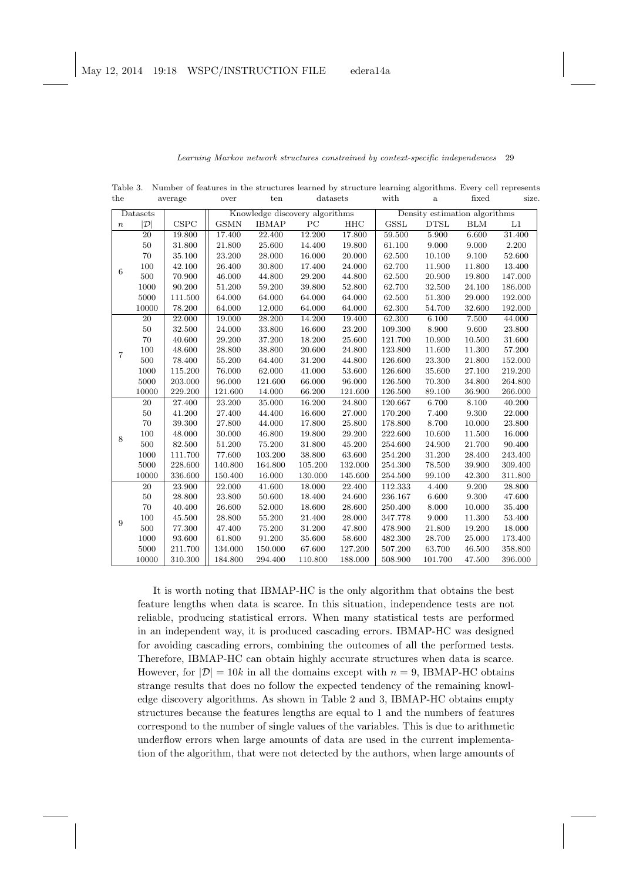| $_{\rm the}$   |                         | average | over        | ten                            | datasets |            | with                          | $\mathbf{a}$ | fixed      | size.   |
|----------------|-------------------------|---------|-------------|--------------------------------|----------|------------|-------------------------------|--------------|------------|---------|
| Datasets       |                         |         |             | Knowledge discovery algorithms |          |            | Density estimation algorithms |              |            |         |
| $\, n$         | CSPC<br>$ \mathcal{D} $ |         | <b>GSMN</b> | <b>IBMAP</b>                   | PC       | <b>HHC</b> | GSSL                          | <b>DTSL</b>  | <b>BLM</b> | L1      |
|                | 20                      | 19.800  | 17.400      | 22.400                         | 12.200   | 17.800     | 59.500                        | 5.900        | 6.600      | 31.400  |
|                | 50                      | 31.800  | 21.800      | 25.600                         | 14.400   | 19.800     | 61.100                        | 9.000        | 9.000      | 2.200   |
| 6              | 70                      | 35.100  | 23.200      | 28.000                         | 16.000   | 20.000     | 62.500                        | 10.100       | 9.100      | 52.600  |
|                | 100                     | 42.100  | 26.400      | 30.800                         | 17.400   | 24.000     | 62.700                        | 11.900       | 11.800     | 13.400  |
|                | 500                     | 70.900  | 46.000      | 44.800                         | 29.200   | 44.800     | 62.500                        | 20.900       | 19.800     | 147.000 |
|                | 1000                    | 90.200  | 51.200      | 59.200                         | 39.800   | 52.800     | 62.700                        | 32.500       | 24.100     | 186.000 |
|                | 5000                    | 111.500 | 64.000      | 64.000                         | 64.000   | 64.000     | 62.500                        | 51.300       | 29.000     | 192.000 |
|                | 10000                   | 78.200  | 64.000      | 12.000                         | 64.000   | 64.000     | 62.300                        | 54.700       | 32.600     | 192.000 |
|                | 20                      | 22.000  | 19.000      | 28.200                         | 14.200   | 19.400     | 62.300                        | 6.100        | 7.500      | 44.000  |
|                | 50                      | 32.500  | 24.000      | 33.800                         | 16.600   | 23.200     | 109.300                       | 8.900        | 9.600      | 23.800  |
|                | 70                      | 40.600  | 29.200      | 37.200                         | 18.200   | 25.600     | 121.700                       | 10.900       | 10.500     | 31.600  |
| $\overline{7}$ | 100                     | 48.600  | 28.800      | 38.800                         | 20.600   | 24.800     | 123.800                       | 11.600       | 11.300     | 57.200  |
|                | 500                     | 78.400  | 55.200      | 64.400                         | 31.200   | 44.800     | 126.600                       | 23.300       | 21.800     | 152.000 |
|                | 1000                    | 115.200 | 76.000      | 62.000                         | 41.000   | 53.600     | 126.600                       | 35.600       | 27.100     | 219.200 |
|                | 5000                    | 203.000 | 96.000      | 121.600                        | 66.000   | 96.000     | 126.500                       | 70.300       | 34.800     | 264.800 |
|                | 10000                   | 229.200 | 121.600     | 14.000                         | 66.200   | 121.600    | 126.500                       | 89.100       | 36.900     | 266.000 |
|                | 20                      | 27.400  | 23.200      | 35.000                         | 16.200   | 24.800     | 120.667                       | 6.700        | 8.100      | 40.200  |
|                | 50                      | 41.200  | 27.400      | 44.400                         | 16.600   | 27.000     | 170.200                       | 7.400        | 9.300      | 22.000  |
|                | 70                      | 39.300  | 27.800      | 44.000                         | 17.800   | 25.800     | 178.800                       | 8.700        | 10.000     | 23.800  |
|                | 100                     | 48.000  | 30.000      | 46.800                         | 19.800   | 29.200     | 222.600                       | 10.600       | 11.500     | 16.000  |
| 8              | 500                     | 82.500  | 51.200      | 75.200                         | 31.800   | 45.200     | 254.600                       | 24.900       | 21.700     | 90.400  |
|                | 1000                    | 111.700 | 77.600      | 103.200                        | 38.800   | 63.600     | 254.200                       | 31.200       | 28.400     | 243.400 |
|                | 5000                    | 228.600 | 140.800     | 164.800                        | 105.200  | 132.000    | 254.300                       | 78.500       | 39.900     | 309.400 |
|                | 10000                   | 336.600 | 150.400     | 16.000                         | 130.000  | 145.600    | 254.500                       | 99.100       | 42.300     | 311.800 |
|                | 20                      | 23.900  | 22.000      | $\overline{41.600}$            | 18.000   | 22.400     | 112.333                       | 4.400        | 9.200      | 28.800  |
|                | 50                      | 28.800  | 23.800      | 50.600                         | 18.400   | 24.600     | 236.167                       | 6.600        | 9.300      | 47.600  |
|                | 70                      | 40.400  | 26.600      | 52.000                         | 18.600   | 28.600     | 250.400                       | 8.000        | 10.000     | 35.400  |
| 9              | 100                     | 45.500  | 28.800      | 55.200                         | 21.400   | 28.000     | 347.778                       | 9.000        | 11.300     | 53.400  |
|                | 500                     | 77.300  | 47.400      | 75.200                         | 31.200   | 47.800     | 478.900                       | 21.800       | 19.200     | 18.000  |
|                | 1000                    | 93.600  | 61.800      | 91.200                         | 35.600   | 58.600     | 482.300                       | 28.700       | 25.000     | 173.400 |
|                | 5000                    | 211.700 | 134.000     | 150.000                        | 67.600   | 127.200    | 507.200                       | 63.700       | 46.500     | 358.800 |
|                | 10000                   | 310.300 | 184.800     | 294.400                        | 110.800  | 188.000    | 508.900                       | 101.700      | 47.500     | 396.000 |

|  |  |  | Learning Markov network structures constrained by context-specific independences 29 |  |
|--|--|--|-------------------------------------------------------------------------------------|--|
|  |  |  |                                                                                     |  |

Table 3. Number of features in the structures learned by structure learning algorithms. Every cell represents

It is worth noting that IBMAP-HC is the only algorithm that obtains the best feature lengths when data is scarce. In this situation, independence tests are not reliable, producing statistical errors. When many statistical tests are performed in an independent way, it is produced cascading errors. IBMAP-HC was designed for avoiding cascading errors, combining the outcomes of all the performed tests. Therefore, IBMAP-HC can obtain highly accurate structures when data is scarce. However, for  $|\mathcal{D}| = 10k$  in all the domains except with  $n = 9$ , IBMAP-HC obtains strange results that does no follow the expected tendency of the remaining knowledge discovery algorithms. As shown in Table 2 and 3, IBMAP-HC obtains empty structures because the features lengths are equal to 1 and the numbers of features correspond to the number of single values of the variables. This is due to arithmetic underflow errors when large amounts of data are used in the current implementation of the algorithm, that were not detected by the authors, when large amounts of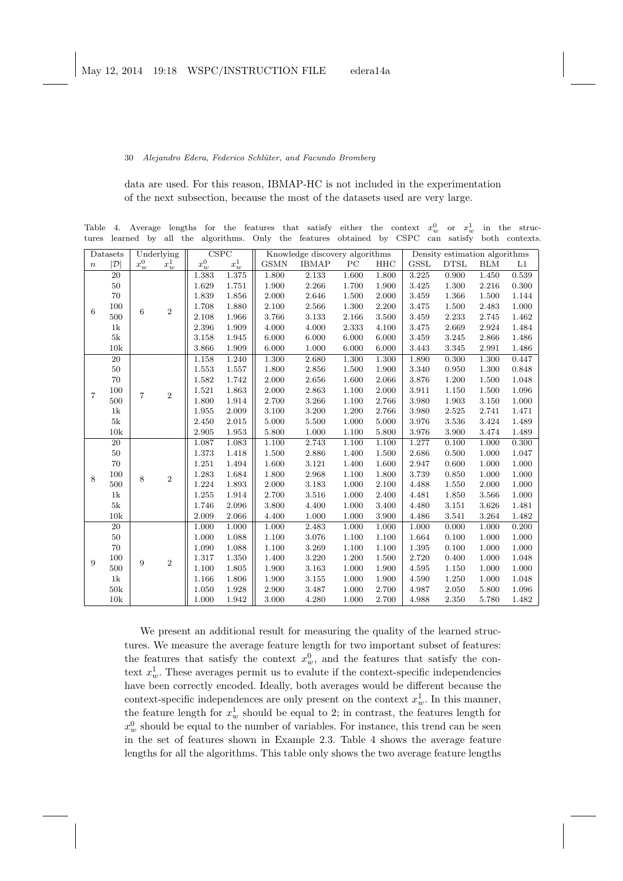data are used. For this reason, IBMAP-HC is not included in the experimentation of the next subsection, because the most of the datasets used are very large.

Datasets Underlying CSPC Knowledge discovery algorithms Density estimation algorithms  $n$  |  $\mathcal{D}$  $x_u^0$  $\begin{array}{ccc} 0 & x^1_w & x^1_w \end{array}$  $x^0$  $\frac{0}{w}$   $x_u^1$  $\frac{1}{w}$  GSMN IBMAP PC HHC GSSL DTSL BLM L1 6 20 6 2 1.383 1.375 1.800 2.133 1.600 1.800 3.225 0.900 1.450 0.539  $50$  | 1.629 1.751 || 1.900 2.266 1.700 1.900 | 3.425 1.300 2.216 0.300  $70$  | 1.839 1.856 | 2.000 2.646 1.500 2.000 3.459 1.366 1.500 1.144 100 1.708 1.880 2.100 2.566 1.300 2.200 3.475 1.500 2.483 1.000 500 2.108 1.966 3.766 3.133 2.166 3.500 3.459 2.233 2.745 1.462 1k 2.396 1.909 4.000 4.000 2.333 4.100 3.475 2.669 2.924 1.484 5k 3.158 1.945 6.000 6.000 6.000 6.000 3.459 3.245 2.866 1.486 10k 3.866 1.909 6.000 1.000 6.000 6.000 3.443 3.345 2.991 1.486 7 20 7 2 1.158 1.240 1.300 2.680 1.300 1.300 1.890 0.300 1.300 0.447  $\begin{array}{|l|c|c|c|c|c|c|c|c|} \hline \end{array} \hspace{1.5cm} | \hspace{1.5cm} \begin{array}{|l|c|c|c|c|c|c|c|} \hline \end{array} \hspace{1.5cm} | \hspace{1.5cm} \begin{array}{|l|c|c|c|c|c|c|} \hline \end{array} \hspace{1.5cm} | \hspace{1.5cm} \begin{array}{|l|c|c|c|c|c|} \hline \end{array} \hspace{1.5cm} | \hspace{1.5cm} \begin{array}{|l|c|c|c|c|c|} \hline \end$  $70$  | 1.582 1.742 | 2.000 2.656 1.600 2.066 | 3.876 1.200 1.500 1.048 100 <sub>1</sub> <sub>2</sub> 1.521 1.863 2.000 2.863 1.100 2.000 3.911 1.150 1.500 1.096 500 1.800 1.914 2.700 3.266 1.100 2.766 3.980 1.903 3.150 1.000  $1k$  | 1.955 2.009 || 3.100 3.200 1.200 2.766 | 3.980 2.525 2.741 1.471 5k 2.450 2.015 5.000 5.500 1.000 5.000 3.976 3.536 3.424 1.489 10k | 2.905 1.953 || 5.800 1.000 1.100 5.800 | 3.976 3.900 3.474 1.489 8 20 8 2 1.087 1.083 1.100 2.743 1.100 1.100 1.277 0.100 1.000 0.300  $50$  | 1.373 1.418 | 1.500 2.886 1.400 1.500 | 2.686 0.500 1.000 1.047  $70$  | 1.251 1.494 || 1.600 3.121 1.400 1.600 | 2.947 0.600 1.000 1.000 100 1.283 1.684 1.800 2.968 1.100 1.800 3.739 0.850 1.000 1.000  $500$  |  $\degree$  |  $1.224$   $1.893$  ||  $2.000$   $3.183$   $1.000$   $2.100$  |  $4.488$   $1.550$   $2.000$   $1.000$ 1k 1.255 1.914 2.700 3.516 1.000 2.400 4.481 1.850 3.566 1.000 5k 1.746 2.096 3.800 4.400 1.000 3.400 4.480 3.151 3.626 1.481 10k 2.009 2.066 4.400 1.000 1.000 3.900 4.486 3.541 3.264 1.482 9 20 9 2 1.000 1.000 1.000 2.483 1.000 1.000 1.000 0.000 1.000 0.200  $50$  | 1.000 1.088 | 1.100 3.076 1.100 1.100 | 1.664 0.100 1.000 1.000  $70$  | 1.090 1.088 | 1.100 3.269 1.100 1.100 1.395 0.100 1.000 1.000 100 1.317 1.350 1.400 3.220 1.200 1.500 2.720 0.400 1.000 1.048 500 1.100 1.805 1.900 3.163 1.000 1.900 4.595 1.150 1.000 1.000 1k 1.166 1.806 1.900 3.155 1.000 1.900 4.590 1.250 1.000 1.048 50k 1.050 1.928 2.900 3.487 1.000 2.700 4.987 2.050 5.800 1.096 10k 1.000 1.942 3.000 4.280 1.000 2.700 4.988 2.350 5.780 1.482

Table 4. Average lengths for the features that satisfy either the context  $x_w^0$  or  $x_w^1$  tures learned by all the algorithms. Only the features obtained by CSPC can satisfy  $x_w^0$  $x_w^0$  or  $x_u^1$ in the struc-<br>both contexts. tures learned by all the algorithms. Only the features obtained by CSPC

We present an additional result for measuring the quality of the learned structures. We measure the average feature length for two important subset of features: the features that satisfy the context  $x_w^0$ , and the features that satisfy the context  $x_w^1$ . These averages permit us to evalute if the context-specific independencies have been correctly encoded. Ideally, both averages would be different because the context-specific independences are only present on the context  $x_w^1$ . In this manner, the feature length for  $x_w^1$  should be equal to 2; in contrast, the features length for  $x_w^0$  should be equal to the number of variables. For instance, this trend can be seen in the set of features shown in Example 2.3. Table 4 shows the average feature lengths for all the algorithms. This table only shows the two average feature lengths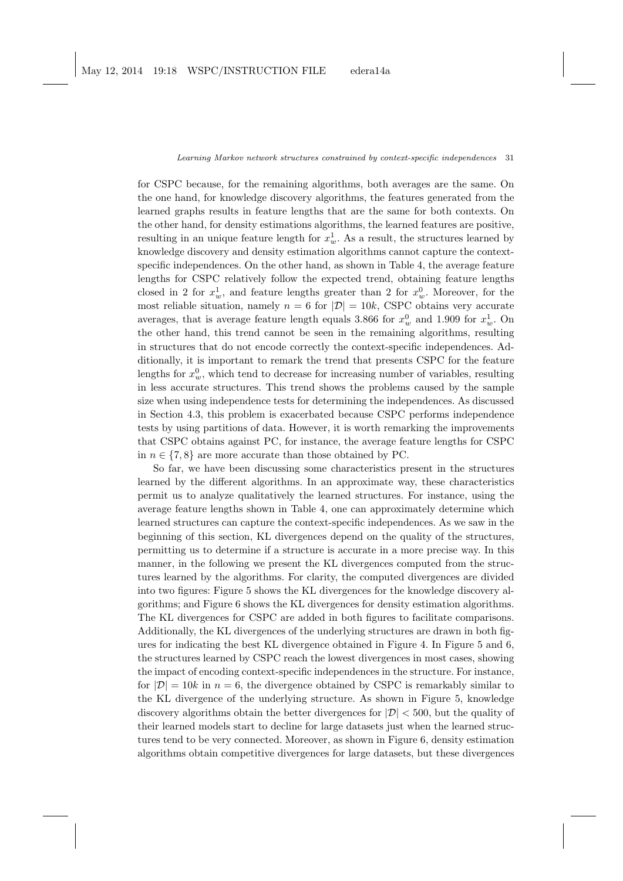for CSPC because, for the remaining algorithms, both averages are the same. On the one hand, for knowledge discovery algorithms, the features generated from the learned graphs results in feature lengths that are the same for both contexts. On the other hand, for density estimations algorithms, the learned features are positive, resulting in an unique feature length for  $x_w^1$ . As a result, the structures learned by knowledge discovery and density estimation algorithms cannot capture the contextspecific independences. On the other hand, as shown in Table 4, the average feature lengths for CSPC relatively follow the expected trend, obtaining feature lengths closed in 2 for  $x_w^1$ , and feature lengths greater than 2 for  $x_w^0$ . Moreover, for the most reliable situation, namely  $n = 6$  for  $|\mathcal{D}| = 10k$ , CSPC obtains very accurate averages, that is average feature length equals 3.866 for  $x_w^0$  and 1.909 for  $x_w^1$ . On the other hand, this trend cannot be seen in the remaining algorithms, resulting in structures that do not encode correctly the context-specific independences. Additionally, it is important to remark the trend that presents CSPC for the feature lengths for  $x_w^0$ , which tend to decrease for increasing number of variables, resulting in less accurate structures. This trend shows the problems caused by the sample size when using independence tests for determining the independences. As discussed in Section 4.3, this problem is exacerbated because CSPC performs independence tests by using partitions of data. However, it is worth remarking the improvements that CSPC obtains against PC, for instance, the average feature lengths for CSPC in  $n \in \{7, 8\}$  are more accurate than those obtained by PC.

So far, we have been discussing some characteristics present in the structures learned by the different algorithms. In an approximate way, these characteristics permit us to analyze qualitatively the learned structures. For instance, using the average feature lengths shown in Table 4, one can approximately determine which learned structures can capture the context-specific independences. As we saw in the beginning of this section, KL divergences depend on the quality of the structures, permitting us to determine if a structure is accurate in a more precise way. In this manner, in the following we present the KL divergences computed from the structures learned by the algorithms. For clarity, the computed divergences are divided into two figures: Figure 5 shows the KL divergences for the knowledge discovery algorithms; and Figure 6 shows the KL divergences for density estimation algorithms. The KL divergences for CSPC are added in both figures to facilitate comparisons. Additionally, the KL divergences of the underlying structures are drawn in both figures for indicating the best KL divergence obtained in Figure 4. In Figure 5 and 6, the structures learned by CSPC reach the lowest divergences in most cases, showing the impact of encoding context-specific independences in the structure. For instance, for  $|\mathcal{D}| = 10k$  in  $n = 6$ , the divergence obtained by CSPC is remarkably similar to the KL divergence of the underlying structure. As shown in Figure 5, knowledge discovery algorithms obtain the better divergences for  $|\mathcal{D}| < 500$ , but the quality of their learned models start to decline for large datasets just when the learned structures tend to be very connected. Moreover, as shown in Figure 6, density estimation algorithms obtain competitive divergences for large datasets, but these divergences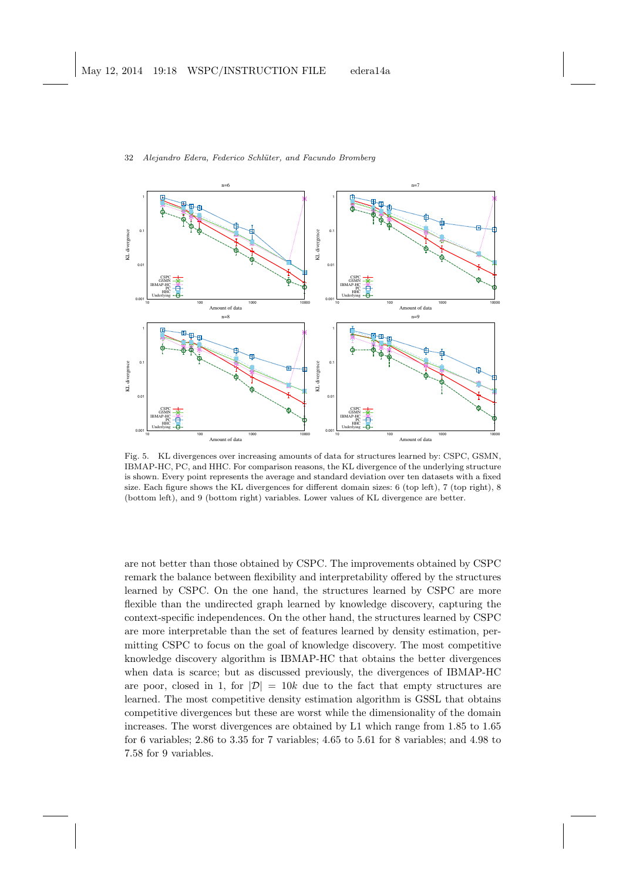

Fig. 5. KL divergences over increasing amounts of data for structures learned by: CSPC, GSMN, IBMAP-HC, PC, and HHC. For comparison reasons, the KL divergence of the underlying structure is shown. Every point represents the average and standard deviation over ten datasets with a fixed size. Each figure shows the KL divergences for different domain sizes: 6 (top left), 7 (top right), 8 (bottom left), and 9 (bottom right) variables. Lower values of KL divergence are better.

are not better than those obtained by CSPC. The improvements obtained by CSPC remark the balance between flexibility and interpretability offered by the structures learned by CSPC. On the one hand, the structures learned by CSPC are more flexible than the undirected graph learned by knowledge discovery, capturing the context-specific independences. On the other hand, the structures learned by CSPC are more interpretable than the set of features learned by density estimation, permitting CSPC to focus on the goal of knowledge discovery. The most competitive knowledge discovery algorithm is IBMAP-HC that obtains the better divergences when data is scarce; but as discussed previously, the divergences of IBMAP-HC are poor, closed in 1, for  $|\mathcal{D}| = 10k$  due to the fact that empty structures are learned. The most competitive density estimation algorithm is GSSL that obtains competitive divergences but these are worst while the dimensionality of the domain increases. The worst divergences are obtained by L1 which range from 1.85 to 1.65 for 6 variables; 2.86 to 3.35 for 7 variables; 4.65 to 5.61 for 8 variables; and 4.98 to 7.58 for 9 variables.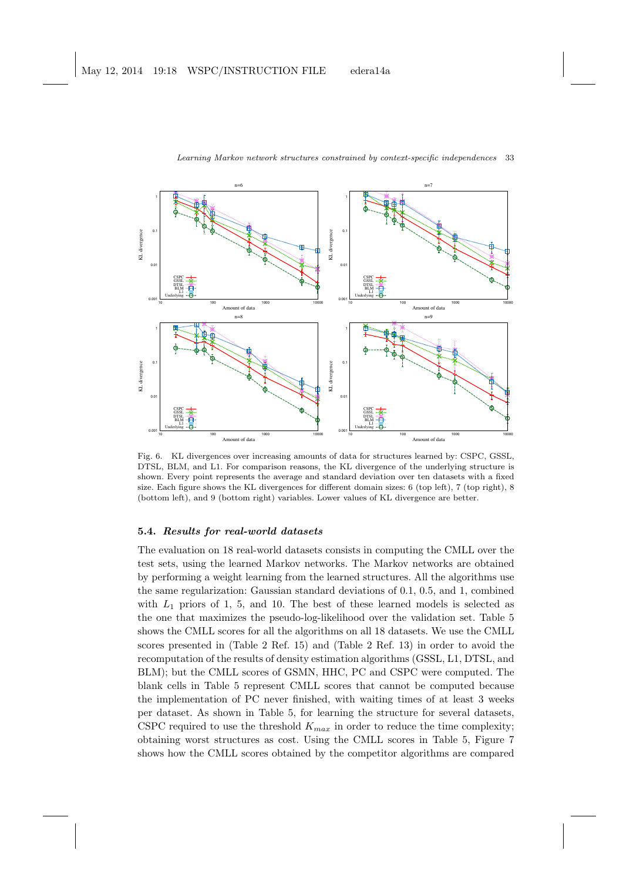

Fig. 6. KL divergences over increasing amounts of data for structures learned by: CSPC, GSSL, DTSL, BLM, and L1. For comparison reasons, the KL divergence of the underlying structure is shown. Every point represents the average and standard deviation over ten datasets with a fixed size. Each figure shows the KL divergences for different domain sizes: 6 (top left), 7 (top right), 8 (bottom left), and 9 (bottom right) variables. Lower values of KL divergence are better.

# 5.4. Results for real-world datasets

The evaluation on 18 real-world datasets consists in computing the CMLL over the test sets, using the learned Markov networks. The Markov networks are obtained by performing a weight learning from the learned structures. All the algorithms use the same regularization: Gaussian standard deviations of 0.1, 0.5, and 1, combined with  $L_1$  priors of 1, 5, and 10. The best of these learned models is selected as the one that maximizes the pseudo-log-likelihood over the validation set. Table 5 shows the CMLL scores for all the algorithms on all 18 datasets. We use the CMLL scores presented in (Table 2 Ref. 15) and (Table 2 Ref. 13) in order to avoid the recomputation of the results of density estimation algorithms (GSSL, L1, DTSL, and BLM); but the CMLL scores of GSMN, HHC, PC and CSPC were computed. The blank cells in Table 5 represent CMLL scores that cannot be computed because the implementation of PC never finished, with waiting times of at least 3 weeks per dataset. As shown in Table 5, for learning the structure for several datasets, CSPC required to use the threshold  $K_{max}$  in order to reduce the time complexity; obtaining worst structures as cost. Using the CMLL scores in Table 5, Figure 7 shows how the CMLL scores obtained by the competitor algorithms are compared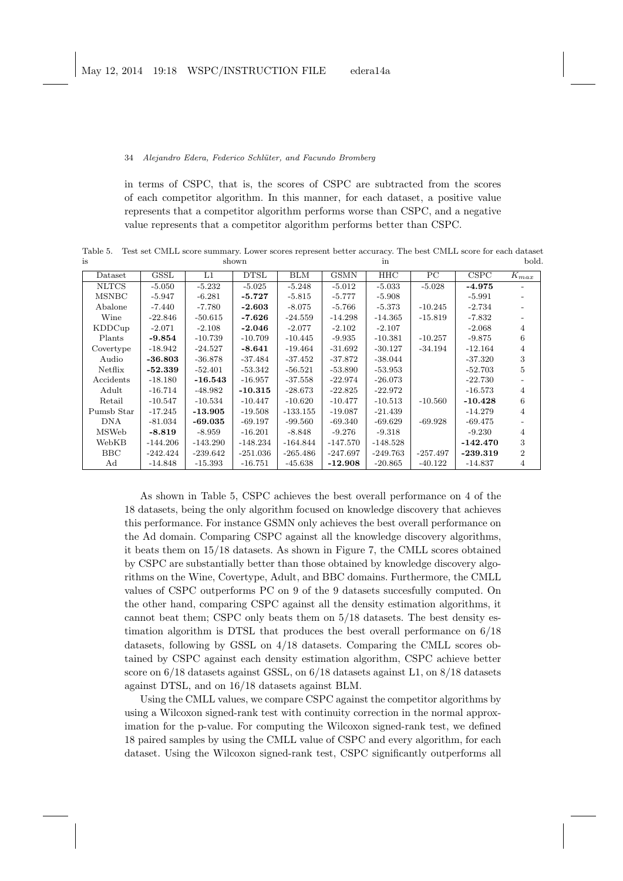in terms of CSPC, that is, the scores of CSPC are subtracted from the scores of each competitor algorithm. In this manner, for each dataset, a positive value represents that a competitor algorithm performs worse than CSPC, and a negative value represents that a competitor algorithm performs better than CSPC.

Table 5. Test set CMLL score summary. Lower scores represent better accuracy. The best CMLL score for each dataset is shown in bold.

| Dataset      | <b>GSSL</b> | L1         | <b>DTSL</b> | <b>BLM</b> | <b>GSMN</b> | <b>HHC</b> | $_{\rm PC}$ | <b>CSPC</b> | $K_{max}$ |
|--------------|-------------|------------|-------------|------------|-------------|------------|-------------|-------------|-----------|
| <b>NLTCS</b> | $-5.050$    | $-5.232$   | $-5.025$    | $-5.248$   | $-5.012$    | $-5.033$   | $-5.028$    | $-4.975$    |           |
| <b>MSNBC</b> | $-5.947$    | $-6.281$   | $-5.727$    | $-5.815$   | $-5.777$    | $-5.908$   |             | $-5.991$    |           |
| Abalone      | -7.440      | -7.780     | $-2.603$    | $-8.075$   | $-5.766$    | -5.373     | $-10.245$   | $-2.734$    |           |
| Wine         | $-22.846$   | $-50.615$  | $-7.626$    | $-24.559$  | $-14.298$   | $-14.365$  | $-15.819$   | -7.832      |           |
| KDDCup       | $-2.071$    | $-2.108$   | $-2.046$    | $-2.077$   | $-2.102$    | $-2.107$   |             | $-2.068$    | 4         |
| Plants       | $-9.854$    | $-10.739$  | $-10.709$   | $-10.445$  | $-9.935$    | $-10.381$  | $-10.257$   | $-9.875$    | 6         |
| Covertype    | -18.942     | $-24.527$  | $-8.641$    | $-19.464$  | $-31.692$   | $-30.127$  | $-34.194$   | $-12.164$   | 4         |
| Audio        | $-36.803$   | $-36.878$  | $-37.484$   | $-37.452$  | $-37.872$   | $-38.044$  |             | $-37.320$   | 3         |
| Netflix      | $-52.339$   | $-52.401$  | $-53.342$   | $-56.521$  | $-53.890$   | $-53.953$  |             | $-52.703$   | 5         |
| Accidents    | $-18.180$   | $-16.543$  | $-16.957$   | $-37.558$  | $-22.974$   | $-26.073$  |             | $-22.730$   |           |
| Adult        | $-16.714$   | $-48.982$  | $-10.315$   | $-28.673$  | $-22.825$   | $-22.972$  |             | $-16.573$   | 4         |
| Retail       | $-10.547$   | $-10.534$  | $-10.447$   | $-10.620$  | $-10.477$   | $-10.513$  | $-10.560$   | $-10.428$   | 6         |
| Pumsb Star   | $-17.245$   | $-13.905$  | $-19.508$   | $-133.155$ | $-19.087$   | $-21.439$  |             | $-14.279$   | 4         |
| <b>DNA</b>   | $-81.034$   | $-69.035$  | $-69.197$   | $-99.560$  | $-69.340$   | $-69.629$  | $-69.928$   | $-69.475$   |           |
| <b>MSWeb</b> | $-8.819$    | $-8.959$   | $-16.201$   | -8.848     | $-9.276$    | $-9.318$   |             | $-9.230$    | 4         |
| WebKB        | $-144.206$  | $-143.290$ | $-148.234$  | $-164.844$ | $-147.570$  | $-148.528$ |             | $-142.470$  | 3         |
| <b>BBC</b>   | $-242.424$  | -239.642   | $-251.036$  | $-265.486$ | $-247.697$  | $-249.763$ | $-257.497$  | $-239.319$  | 2         |
| Ad           | -14.848     | $-15.393$  | $-16.751$   | -45.638    | $-12.908$   | $-20.865$  | $-40.122$   | $-14.837$   | 4         |

As shown in Table 5, CSPC achieves the best overall performance on 4 of the 18 datasets, being the only algorithm focused on knowledge discovery that achieves this performance. For instance GSMN only achieves the best overall performance on the Ad domain. Comparing CSPC against all the knowledge discovery algorithms, it beats them on 15/18 datasets. As shown in Figure 7, the CMLL scores obtained by CSPC are substantially better than those obtained by knowledge discovery algorithms on the Wine, Covertype, Adult, and BBC domains. Furthermore, the CMLL values of CSPC outperforms PC on 9 of the 9 datasets succesfully computed. On the other hand, comparing CSPC against all the density estimation algorithms, it cannot beat them; CSPC only beats them on 5/18 datasets. The best density estimation algorithm is DTSL that produces the best overall performance on 6/18 datasets, following by GSSL on 4/18 datasets. Comparing the CMLL scores obtained by CSPC against each density estimation algorithm, CSPC achieve better score on 6/18 datasets against GSSL, on 6/18 datasets against L1, on 8/18 datasets against DTSL, and on 16/18 datasets against BLM.

Using the CMLL values, we compare CSPC against the competitor algorithms by using a Wilcoxon signed-rank test with continuity correction in the normal approximation for the p-value. For computing the Wilcoxon signed-rank test, we defined 18 paired samples by using the CMLL value of CSPC and every algorithm, for each dataset. Using the Wilcoxon signed-rank test, CSPC significantly outperforms all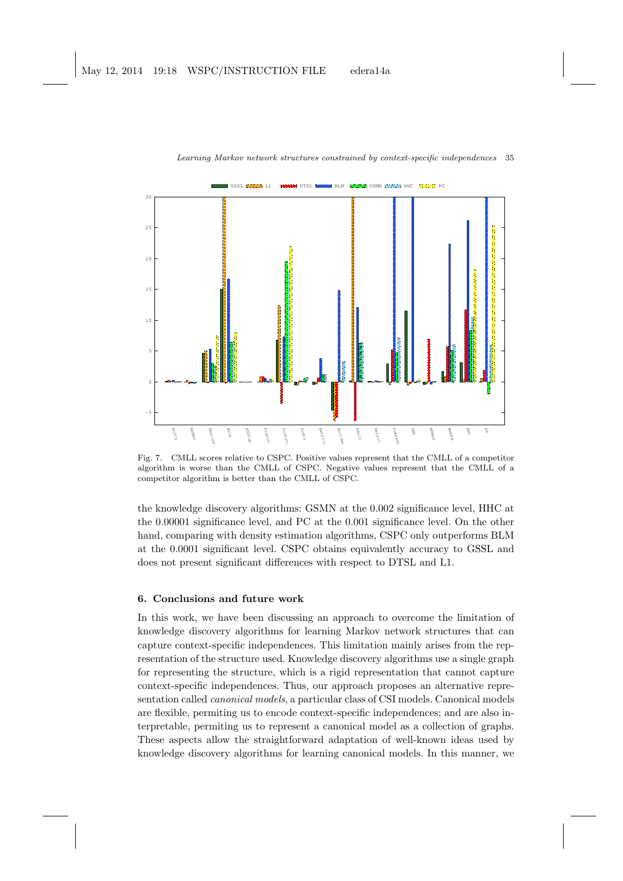

Fig. 7. CMLL scores relative to CSPC. Positive values represent that the CMLL of a competitor algorithm is worse than the CMLL of CSPC. Negative values represent that the CMLL of a competitor algorithm is better than the CMLL of CSPC.

the knowledge discovery algorithms: GSMN at the 0.002 significance level, HHC at the 0.00001 significance level, and PC at the 0.001 significance level. On the other hand, comparing with density estimation algorithms, CSPC only outperforms BLM at the 0.0001 significant level. CSPC obtains equivalently accuracy to GSSL and does not present significant differences with respect to DTSL and L1.

## 6. Conclusions and future work

In this work, we have been discussing an approach to overcome the limitation of knowledge discovery algorithms for learning Markov network structures that can capture context-specific independences. This limitation mainly arises from the representation of the structure used. Knowledge discovery algorithms use a single graph for representing the structure, which is a rigid representation that cannot capture context-specific independences. Thus, our approach proposes an alternative representation called canonical models, a particular class of CSI models. Canonical models are flexible, permiting us to encode context-specific independences; and are also interpretable, permiting us to represent a canonical model as a collection of graphs. These aspects allow the straightforward adaptation of well-known ideas used by knowledge discovery algorithms for learning canonical models. In this manner, we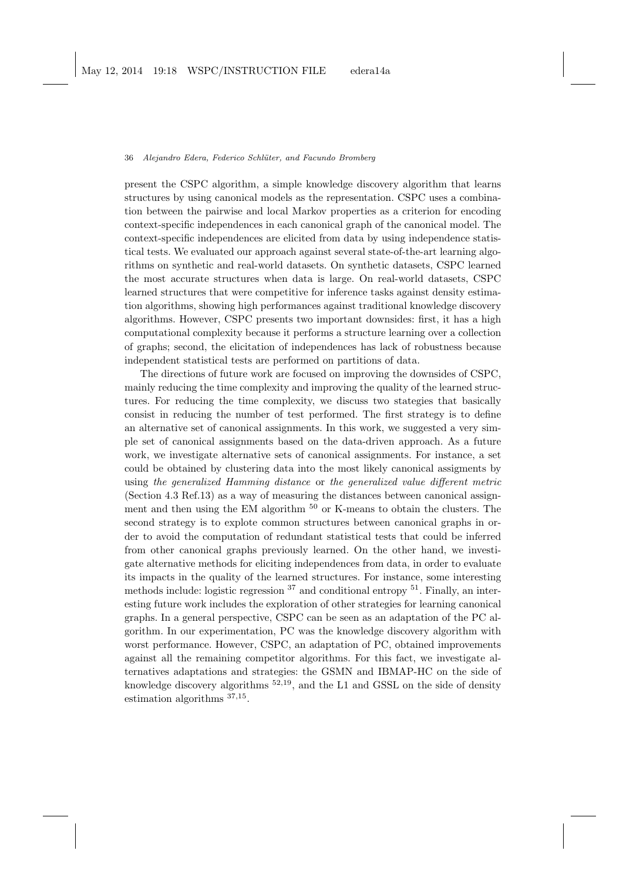present the CSPC algorithm, a simple knowledge discovery algorithm that learns structures by using canonical models as the representation. CSPC uses a combination between the pairwise and local Markov properties as a criterion for encoding context-specific independences in each canonical graph of the canonical model. The context-specific independences are elicited from data by using independence statistical tests. We evaluated our approach against several state-of-the-art learning algorithms on synthetic and real-world datasets. On synthetic datasets, CSPC learned the most accurate structures when data is large. On real-world datasets, CSPC learned structures that were competitive for inference tasks against density estimation algorithms, showing high performances against traditional knowledge discovery algorithms. However, CSPC presents two important downsides: first, it has a high computational complexity because it performs a structure learning over a collection of graphs; second, the elicitation of independences has lack of robustness because independent statistical tests are performed on partitions of data.

The directions of future work are focused on improving the downsides of CSPC, mainly reducing the time complexity and improving the quality of the learned structures. For reducing the time complexity, we discuss two stategies that basically consist in reducing the number of test performed. The first strategy is to define an alternative set of canonical assignments. In this work, we suggested a very simple set of canonical assignments based on the data-driven approach. As a future work, we investigate alternative sets of canonical assignments. For instance, a set could be obtained by clustering data into the most likely canonical assigments by using the generalized Hamming distance or the generalized value different metric (Section 4.3 Ref.13) as a way of measuring the distances between canonical assignment and then using the EM algorithm <sup>50</sup> or K-means to obtain the clusters. The second strategy is to explote common structures between canonical graphs in order to avoid the computation of redundant statistical tests that could be inferred from other canonical graphs previously learned. On the other hand, we investigate alternative methods for eliciting independences from data, in order to evaluate its impacts in the quality of the learned structures. For instance, some interesting methods include: logistic regression  $37$  and conditional entropy  $51$ . Finally, an interesting future work includes the exploration of other strategies for learning canonical graphs. In a general perspective, CSPC can be seen as an adaptation of the PC algorithm. In our experimentation, PC was the knowledge discovery algorithm with worst performance. However, CSPC, an adaptation of PC, obtained improvements against all the remaining competitor algorithms. For this fact, we investigate alternatives adaptations and strategies: the GSMN and IBMAP-HC on the side of knowledge discovery algorithms <sup>52</sup>,<sup>19</sup>, and the L1 and GSSL on the side of density estimation algorithms  $37,15$ .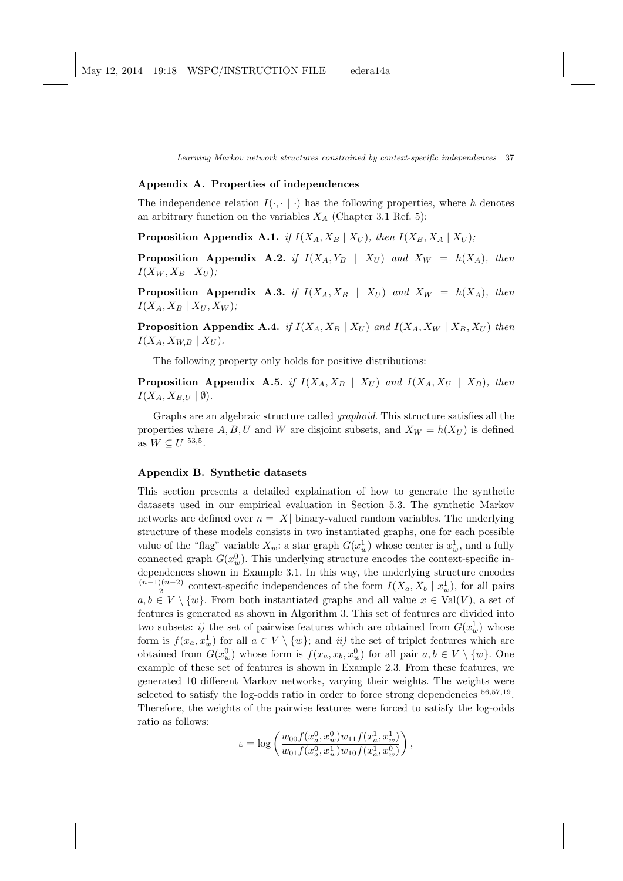## Appendix A. Properties of independences

The independence relation  $I(\cdot, \cdot | \cdot)$  has the following properties, where h denotes an arbitrary function on the variables  $X_A$  (Chapter 3.1 Ref. 5):

**Proposition Appendix A.1.** if  $I(X_A, X_B | X_U)$ , then  $I(X_B, X_A | X_U)$ ;

**Proposition Appendix A.2.** if  $I(X_A, Y_B | X_U)$  and  $X_W = h(X_A)$ , then  $I(X_W, X_B | X_U);$ 

**Proposition Appendix A.3.** if  $I(X_A, X_B | X_U)$  and  $X_W = h(X_A)$ , then  $I(X_A, X_B | X_U, X_W);$ 

**Proposition Appendix A.4.** if  $I(X_A, X_B | X_U)$  and  $I(X_A, X_W | X_B, X_U)$  then  $I(X_A, X_{W,B} | X_U).$ 

The following property only holds for positive distributions:

**Proposition Appendix A.5.** if  $I(X_A, X_B | X_U)$  and  $I(X_A, X_U | X_B)$ , then  $I(X_A, X_{B,U} | \emptyset).$ 

Graphs are an algebraic structure called graphoid. This structure satisfies all the properties where A, B, U and W are disjoint subsets, and  $X_W = h(X_U)$  is defined as  $W \subseteq U$ <sup>53,5</sup>.

## Appendix B. Synthetic datasets

This section presents a detailed explaination of how to generate the synthetic datasets used in our empirical evaluation in Section 5.3. The synthetic Markov networks are defined over  $n = |X|$  binary-valued random variables. The underlying structure of these models consists in two instantiated graphs, one for each possible value of the "flag" variable  $X_w$ : a star graph  $G(x_w^1)$  whose center is  $x_w^1$ , and a fully connected graph  $G(x_w^0)$ . This underlying structure encodes the context-specific independences shown in Example 3.1. In this way, the underlying structure encodes  $(n-1)(n-2)$  $\frac{2(n-2)}{2}$  context-specific independences of the form  $I(X_a, X_b | x_w^1)$ , for all pairs  $a, b \in V \setminus \{w\}.$  From both instantiated graphs and all value  $x \in Val(V)$ , a set of features is generated as shown in Algorithm 3. This set of features are divided into two subsets: *i*) the set of pairwise features which are obtained from  $G(x_w^1)$  whose form is  $f(x_a, x_w^1)$  for all  $a \in V \setminus \{w\}$ ; and  $ii)$  the set of triplet features which are obtained from  $G(x_w^0)$  whose form is  $f(x_a, x_b, x_w^0)$  for all pair  $a, b \in V \setminus \{w\}$ . One example of these set of features is shown in Example 2.3. From these features, we generated 10 different Markov networks, varying their weights. The weights were selected to satisfy the log-odds ratio in order to force strong dependencies  $56,57,19$ . Therefore, the weights of the pairwise features were forced to satisfy the log-odds ratio as follows:

$$
\varepsilon = \log\left(\frac{w_{00}f(x_a^0, x_w^0)w_{11}f(x_a^1, x_w^1)}{w_{01}f(x_a^0, x_w^1)w_{10}f(x_a^1, x_w^0)}\right),\,
$$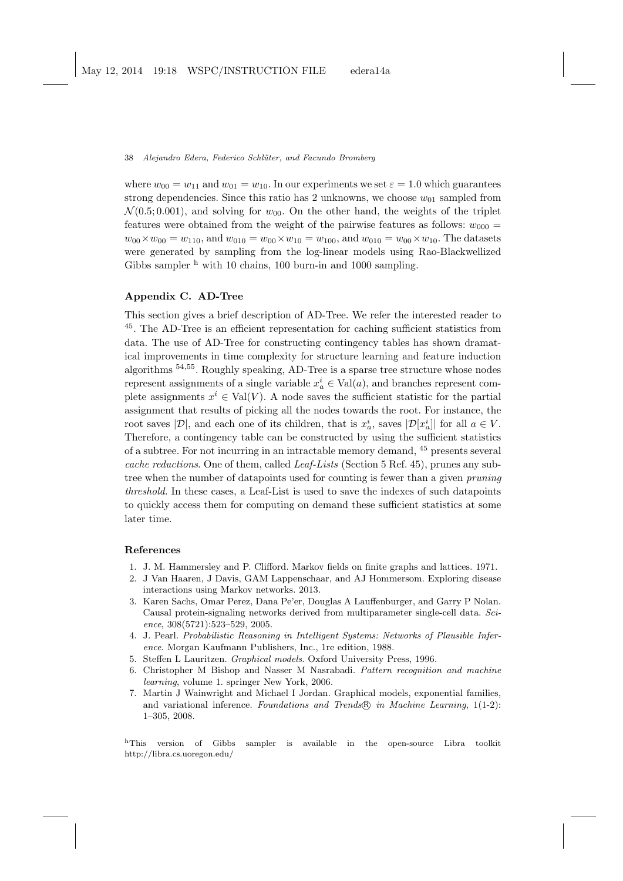where  $w_{00} = w_{11}$  and  $w_{01} = w_{10}$ . In our experiments we set  $\varepsilon = 1.0$  which guarantees strong dependencies. Since this ratio has 2 unknowns, we choose  $w_{01}$  sampled from  $\mathcal{N}(0.5; 0.001)$ , and solving for  $w_{00}$ . On the other hand, the weights of the triplet features were obtained from the weight of the pairwise features as follows:  $w_{000}$  =  $w_{00} \times w_{00} = w_{110}$ , and  $w_{010} = w_{00} \times w_{10} = w_{100}$ , and  $w_{010} = w_{00} \times w_{10}$ . The datasets were generated by sampling from the log-linear models using Rao-Blackwellized Gibbs sampler  $<sup>h</sup>$  with 10 chains, 100 burn-in and 1000 sampling.</sup>

# Appendix C. AD-Tree

This section gives a brief description of AD-Tree. We refer the interested reader to <sup>45</sup>. The AD-Tree is an efficient representation for caching sufficient statistics from data. The use of AD-Tree for constructing contingency tables has shown dramatical improvements in time complexity for structure learning and feature induction algorithms <sup>54</sup>,55. Roughly speaking, AD-Tree is a sparse tree structure whose nodes represent assignments of a single variable  $x_a^i \in Val(a)$ , and branches represent complete assignments  $x^i \in Val(V)$ . A node saves the sufficient statistic for the partial assignment that results of picking all the nodes towards the root. For instance, the root saves  $|\mathcal{D}|$ , and each one of its children, that is  $x_a^i$ , saves  $|\mathcal{D}[x_a^i]|$  for all  $a \in V$ . Therefore, a contingency table can be constructed by using the sufficient statistics of a subtree. For not incurring in an intractable memory demand, <sup>45</sup> presents several cache reductions. One of them, called Leaf-Lists (Section 5 Ref. 45), prunes any subtree when the number of datapoints used for counting is fewer than a given *pruning* threshold. In these cases, a Leaf-List is used to save the indexes of such datapoints to quickly access them for computing on demand these sufficient statistics at some later time.

### References

- 1. J. M. Hammersley and P. Clifford. Markov fields on finite graphs and lattices. 1971.
- 2. J Van Haaren, J Davis, GAM Lappenschaar, and AJ Hommersom. Exploring disease interactions using Markov networks. 2013.
- 3. Karen Sachs, Omar Perez, Dana Pe'er, Douglas A Lauffenburger, and Garry P Nolan. Causal protein-signaling networks derived from multiparameter single-cell data. Science, 308(5721):523–529, 2005.
- 4. J. Pearl. Probabilistic Reasoning in Intelligent Systems: Networks of Plausible Inference. Morgan Kaufmann Publishers, Inc., 1re edition, 1988.
- 5. Steffen L Lauritzen. Graphical models. Oxford University Press, 1996.
- 6. Christopher M Bishop and Nasser M Nasrabadi. Pattern recognition and machine learning, volume 1. springer New York, 2006.
- 7. Martin J Wainwright and Michael I Jordan. Graphical models, exponential families, and variational inference. Foundations and Trends $\mathbb R$  in Machine Learning, 1(1-2): 1–305, 2008.

hThis version of Gibbs sampler is available in the open-source Libra toolkit http://libra.cs.uoregon.edu/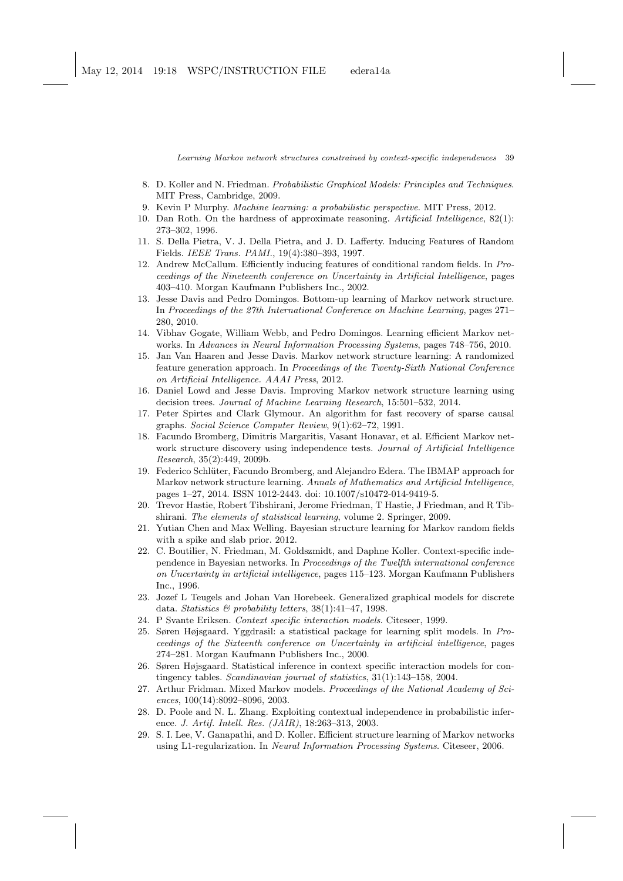- 8. D. Koller and N. Friedman. Probabilistic Graphical Models: Principles and Techniques. MIT Press, Cambridge, 2009.
- 9. Kevin P Murphy. Machine learning: a probabilistic perspective. MIT Press, 2012.
- 10. Dan Roth. On the hardness of approximate reasoning. Artificial Intelligence, 82(1): 273–302, 1996.
- 11. S. Della Pietra, V. J. Della Pietra, and J. D. Lafferty. Inducing Features of Random Fields. IEEE Trans. PAMI., 19(4):380–393, 1997.
- 12. Andrew McCallum. Efficiently inducing features of conditional random fields. In Proceedings of the Nineteenth conference on Uncertainty in Artificial Intelligence, pages 403–410. Morgan Kaufmann Publishers Inc., 2002.
- 13. Jesse Davis and Pedro Domingos. Bottom-up learning of Markov network structure. In Proceedings of the 27th International Conference on Machine Learning, pages 271– 280, 2010.
- 14. Vibhav Gogate, William Webb, and Pedro Domingos. Learning efficient Markov networks. In Advances in Neural Information Processing Systems, pages 748–756, 2010.
- 15. Jan Van Haaren and Jesse Davis. Markov network structure learning: A randomized feature generation approach. In Proceedings of the Twenty-Sixth National Conference on Artificial Intelligence. AAAI Press, 2012.
- 16. Daniel Lowd and Jesse Davis. Improving Markov network structure learning using decision trees. Journal of Machine Learning Research, 15:501–532, 2014.
- 17. Peter Spirtes and Clark Glymour. An algorithm for fast recovery of sparse causal graphs. Social Science Computer Review, 9(1):62–72, 1991.
- 18. Facundo Bromberg, Dimitris Margaritis, Vasant Honavar, et al. Efficient Markov network structure discovery using independence tests. Journal of Artificial Intelligence Research, 35(2):449, 2009b.
- 19. Federico Schlüter, Facundo Bromberg, and Alejandro Edera. The IBMAP approach for Markov network structure learning. Annals of Mathematics and Artificial Intelligence, pages 1–27, 2014. ISSN 1012-2443. doi: 10.1007/s10472-014-9419-5.
- 20. Trevor Hastie, Robert Tibshirani, Jerome Friedman, T Hastie, J Friedman, and R Tibshirani. The elements of statistical learning, volume 2. Springer, 2009.
- 21. Yutian Chen and Max Welling. Bayesian structure learning for Markov random fields with a spike and slab prior. 2012.
- 22. C. Boutilier, N. Friedman, M. Goldszmidt, and Daphne Koller. Context-specific independence in Bayesian networks. In Proceedings of the Twelfth international conference on Uncertainty in artificial intelligence, pages 115–123. Morgan Kaufmann Publishers Inc., 1996.
- 23. Jozef L Teugels and Johan Van Horebeek. Generalized graphical models for discrete data. Statistics & probability letters,  $38(1):41-47$ , 1998.
- 24. P Svante Eriksen. Context specific interaction models. Citeseer, 1999.
- 25. Søren Højsgaard. Yggdrasil: a statistical package for learning split models. In Proceedings of the Sixteenth conference on Uncertainty in artificial intelligence, pages 274–281. Morgan Kaufmann Publishers Inc., 2000.
- 26. Søren Højsgaard. Statistical inference in context specific interaction models for contingency tables. Scandinavian journal of statistics, 31(1):143–158, 2004.
- 27. Arthur Fridman. Mixed Markov models. Proceedings of the National Academy of Sciences, 100(14):8092–8096, 2003.
- 28. D. Poole and N. L. Zhang. Exploiting contextual independence in probabilistic inference. J. Artif. Intell. Res. (JAIR), 18:263–313, 2003.
- 29. S. I. Lee, V. Ganapathi, and D. Koller. Efficient structure learning of Markov networks using L1-regularization. In Neural Information Processing Systems. Citeseer, 2006.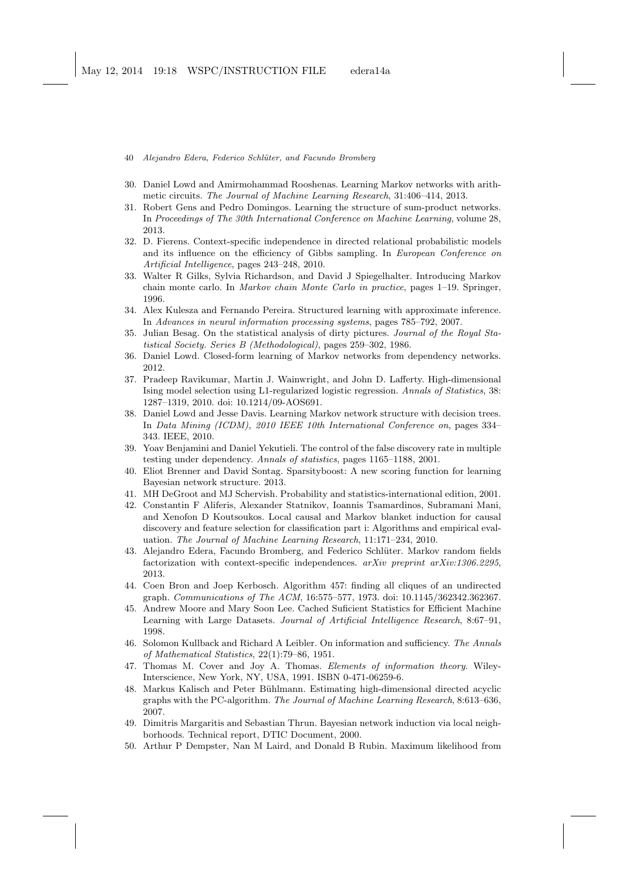- 40 Alejandro Edera, Federico Schlüter, and Facundo Bromberg
- 30. Daniel Lowd and Amirmohammad Rooshenas. Learning Markov networks with arithmetic circuits. The Journal of Machine Learning Research, 31:406–414, 2013.
- 31. Robert Gens and Pedro Domingos. Learning the structure of sum-product networks. In Proceedings of The 30th International Conference on Machine Learning, volume 28, 2013.
- 32. D. Fierens. Context-specific independence in directed relational probabilistic models and its influence on the efficiency of Gibbs sampling. In European Conference on Artificial Intelligence, pages 243–248, 2010.
- 33. Walter R Gilks, Sylvia Richardson, and David J Spiegelhalter. Introducing Markov chain monte carlo. In Markov chain Monte Carlo in practice, pages 1–19. Springer, 1996.
- 34. Alex Kulesza and Fernando Pereira. Structured learning with approximate inference. In Advances in neural information processing systems, pages 785–792, 2007.
- 35. Julian Besag. On the statistical analysis of dirty pictures. Journal of the Royal Statistical Society. Series B (Methodological), pages 259–302, 1986.
- 36. Daniel Lowd. Closed-form learning of Markov networks from dependency networks. 2012.
- 37. Pradeep Ravikumar, Martin J. Wainwright, and John D. Lafferty. High-dimensional Ising model selection using L1-regularized logistic regression. Annals of Statistics, 38: 1287–1319, 2010. doi: 10.1214/09-AOS691.
- 38. Daniel Lowd and Jesse Davis. Learning Markov network structure with decision trees. In Data Mining (ICDM), 2010 IEEE 10th International Conference on, pages 334– 343. IEEE, 2010.
- 39. Yoav Benjamini and Daniel Yekutieli. The control of the false discovery rate in multiple testing under dependency. Annals of statistics, pages 1165–1188, 2001.
- 40. Eliot Brenner and David Sontag. Sparsityboost: A new scoring function for learning Bayesian network structure. 2013.
- 41. MH DeGroot and MJ Schervish. Probability and statistics-international edition, 2001.
- 42. Constantin F Aliferis, Alexander Statnikov, Ioannis Tsamardinos, Subramani Mani, and Xenofon D Koutsoukos. Local causal and Markov blanket induction for causal discovery and feature selection for classification part i: Algorithms and empirical evaluation. The Journal of Machine Learning Research, 11:171–234, 2010.
- 43. Alejandro Edera, Facundo Bromberg, and Federico Schlüter. Markov random fields factorization with context-specific independences. arXiv preprint arXiv:1306.2295, 2013.
- 44. Coen Bron and Joep Kerbosch. Algorithm 457: finding all cliques of an undirected graph. Communications of The ACM, 16:575–577, 1973. doi: 10.1145/362342.362367.
- 45. Andrew Moore and Mary Soon Lee. Cached Suficient Statistics for Efficient Machine Learning with Large Datasets. Journal of Artificial Intelligence Research, 8:67–91, 1998.
- 46. Solomon Kullback and Richard A Leibler. On information and sufficiency. The Annals of Mathematical Statistics, 22(1):79–86, 1951.
- 47. Thomas M. Cover and Joy A. Thomas. Elements of information theory. Wiley-Interscience, New York, NY, USA, 1991. ISBN 0-471-06259-6.
- 48. Markus Kalisch and Peter Bühlmann. Estimating high-dimensional directed acyclic graphs with the PC-algorithm. The Journal of Machine Learning Research, 8:613–636, 2007.
- 49. Dimitris Margaritis and Sebastian Thrun. Bayesian network induction via local neighborhoods. Technical report, DTIC Document, 2000.
- 50. Arthur P Dempster, Nan M Laird, and Donald B Rubin. Maximum likelihood from